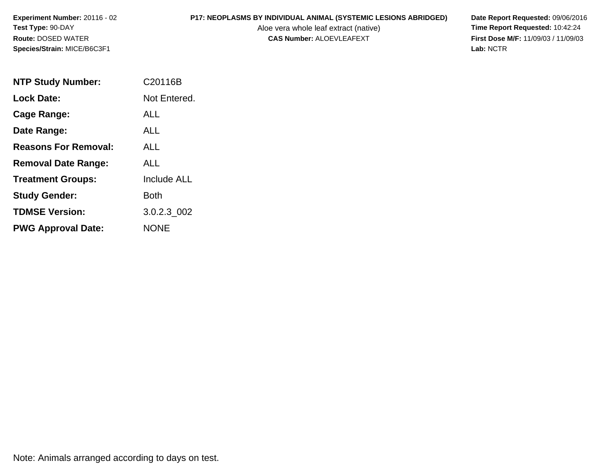# **P17: NEOPLASMS BY INDIVIDUAL ANIMAL (SYSTEMIC LESIONS ABRIDGED)** Date Report Requested: 09/06/2016<br>Aloe vera whole leaf extract (native) **Time Report Requested:** 10:42:24

Aloe vera whole leaf extract (native)<br>**CAS Number:** ALOEVLEAFEXT

**First Dose M/F:** 11/09/03 / 11/09/03<br>Lab: NCTR **Lab:** NCTR

| <b>NTP Study Number:</b>    | C20116B            |
|-----------------------------|--------------------|
| <b>Lock Date:</b>           | Not Entered.       |
| Cage Range:                 | ALL                |
| Date Range:                 | ALL                |
| <b>Reasons For Removal:</b> | ALL.               |
| <b>Removal Date Range:</b>  | ALL                |
| <b>Treatment Groups:</b>    | <b>Include ALL</b> |
| <b>Study Gender:</b>        | <b>Both</b>        |
| <b>TDMSE Version:</b>       | 3.0.2.3 002        |
| <b>PWG Approval Date:</b>   | <b>NONF</b>        |

Note: Animals arranged according to days on test.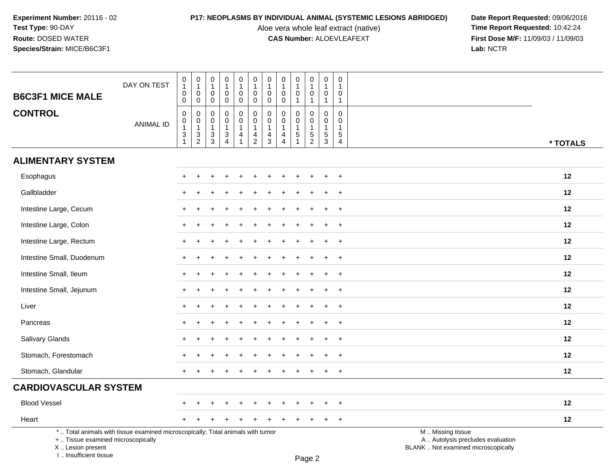I .. Insufficient tissue

Aloe vera whole leaf extract (native)<br>**CAS Number:** ALOEVLEAFEXT

**P17: NEOPLASMS BY INDIVIDUAL ANIMAL (SYSTEMIC LESIONS ABRIDGED)** Date Report Requested: 09/06/2016<br>Aloe vera whole leaf extract (native) **Time Report Requested:** 10:42:24 **First Dose M/F:** 11/09/03 / 11/09/03<br>Lab: NCTR **Lab:** NCTR

| <b>B6C3F1 MICE MALE</b>                                 | DAY ON TEST                                                                     | $\pmb{0}$<br>$\mathbf{1}$<br>$\pmb{0}$                                     | $\pmb{0}$<br>$\mathbf{1}$<br>0                                                  | $\boldsymbol{0}$<br>$\mathbf{1}$<br>0                                 | $\pmb{0}$<br>$\mathbf{1}$<br>$\mathbf 0$                                               | 0<br>$\mathbf{1}$<br>0                                       | $\pmb{0}$<br>$\mathbf{1}$<br>$\mathbf 0$                               | $\mathbf 0$<br>$\mathbf{1}$<br>$\mathbf 0$                   | 0<br>$\mathbf{1}$<br>0                  | $\pmb{0}$<br>$\overline{1}$<br>$\mathbf 0$                               | 0<br>$\mathbf{1}$<br>0                                                        | $\mathbf 0$<br>$\overline{1}$<br>$\mathbf 0$                               | 0<br>1<br>0                                          |                                                                                               |
|---------------------------------------------------------|---------------------------------------------------------------------------------|----------------------------------------------------------------------------|---------------------------------------------------------------------------------|-----------------------------------------------------------------------|----------------------------------------------------------------------------------------|--------------------------------------------------------------|------------------------------------------------------------------------|--------------------------------------------------------------|-----------------------------------------|--------------------------------------------------------------------------|-------------------------------------------------------------------------------|----------------------------------------------------------------------------|------------------------------------------------------|-----------------------------------------------------------------------------------------------|
| <b>CONTROL</b>                                          | <b>ANIMAL ID</b>                                                                | $\pmb{0}$<br>$\pmb{0}$<br>$\overline{0}$<br>1<br>$\ensuremath{\mathsf{3}}$ | $\mathbf 0$<br>0<br>$\begin{smallmatrix}0\\1\end{smallmatrix}$<br>$\frac{3}{2}$ | $\mathbf 0$<br>$\mathbf 0$<br>$\mathbf 0$<br>$\overline{1}$<br>$_3^3$ | $\mathbf 0$<br>$\mathbf 0$<br>$\pmb{0}$<br>$\overline{1}$<br>$\ensuremath{\mathsf{3}}$ | $\mathbf 0$<br>$\mathbf 0$<br>$\pmb{0}$<br>$\mathbf{1}$<br>4 | $\mathbf 0$<br>$\pmb{0}$<br>$\pmb{0}$<br>$\mathbf{1}$<br>$\frac{4}{2}$ | $\mathbf 0$<br>$\mathbf 0$<br>$\pmb{0}$<br>$\mathbf{1}$<br>4 | 0<br>$\Omega$<br>0<br>$\mathbf{1}$<br>4 | $\overline{1}$<br>$\mathbf 0$<br>$\pmb{0}$<br>$\mathbf{1}$<br>$\sqrt{5}$ | $\mathbf{1}$<br>$\mathbf 0$<br>$\mathsf 0$<br>$\overline{1}$<br>$\frac{5}{2}$ | $\mathbf{1}$<br>$\mathbf 0$<br>$\mathbf 0$<br>$\overline{1}$<br>$\sqrt{5}$ | $\mathbf{1}$<br>$\mathbf 0$<br>0<br>$\mathbf 1$<br>5 |                                                                                               |
|                                                         |                                                                                 | $\mathbf{1}$                                                               |                                                                                 |                                                                       | $\overline{4}$                                                                         |                                                              |                                                                        | 3                                                            | $\overline{4}$                          |                                                                          |                                                                               | 3                                                                          | $\overline{4}$                                       | * TOTALS                                                                                      |
| <b>ALIMENTARY SYSTEM</b>                                |                                                                                 |                                                                            |                                                                                 |                                                                       |                                                                                        |                                                              |                                                                        |                                                              |                                         |                                                                          |                                                                               |                                                                            |                                                      |                                                                                               |
| Esophagus                                               |                                                                                 | $\pm$                                                                      | $\div$                                                                          |                                                                       |                                                                                        |                                                              |                                                                        |                                                              |                                         |                                                                          | $\ddot{}$                                                                     | $\ddot{}$                                                                  | $\overline{+}$                                       | 12                                                                                            |
| Gallbladder                                             |                                                                                 |                                                                            |                                                                                 |                                                                       |                                                                                        |                                                              |                                                                        |                                                              |                                         |                                                                          |                                                                               |                                                                            | $\ddot{}$                                            | 12                                                                                            |
| Intestine Large, Cecum                                  |                                                                                 |                                                                            |                                                                                 |                                                                       |                                                                                        |                                                              |                                                                        |                                                              |                                         |                                                                          |                                                                               |                                                                            | $\ddot{}$                                            | 12                                                                                            |
| Intestine Large, Colon                                  |                                                                                 |                                                                            |                                                                                 |                                                                       |                                                                                        |                                                              |                                                                        |                                                              |                                         |                                                                          |                                                                               |                                                                            | $\ddot{}$                                            | 12                                                                                            |
| Intestine Large, Rectum                                 |                                                                                 | $+$                                                                        |                                                                                 |                                                                       |                                                                                        |                                                              |                                                                        |                                                              |                                         |                                                                          |                                                                               |                                                                            | $\overline{+}$                                       | 12                                                                                            |
| Intestine Small, Duodenum                               |                                                                                 |                                                                            |                                                                                 |                                                                       |                                                                                        |                                                              |                                                                        |                                                              |                                         |                                                                          | $\ddot{}$                                                                     | $\ddot{}$                                                                  | $\ddot{}$                                            | 12                                                                                            |
| Intestine Small, Ileum                                  |                                                                                 |                                                                            |                                                                                 |                                                                       |                                                                                        |                                                              |                                                                        |                                                              |                                         |                                                                          |                                                                               |                                                                            | $\ddot{}$                                            | 12                                                                                            |
| Intestine Small, Jejunum                                |                                                                                 |                                                                            |                                                                                 |                                                                       |                                                                                        |                                                              |                                                                        |                                                              |                                         |                                                                          |                                                                               |                                                                            | $\ddot{}$                                            | 12                                                                                            |
| Liver                                                   |                                                                                 |                                                                            |                                                                                 |                                                                       |                                                                                        |                                                              |                                                                        |                                                              |                                         |                                                                          |                                                                               |                                                                            | $\ddot{}$                                            | 12                                                                                            |
| Pancreas                                                |                                                                                 | $+$                                                                        |                                                                                 |                                                                       |                                                                                        |                                                              |                                                                        |                                                              |                                         |                                                                          |                                                                               |                                                                            | $\ddot{}$                                            | 12                                                                                            |
| Salivary Glands                                         |                                                                                 |                                                                            |                                                                                 |                                                                       |                                                                                        |                                                              |                                                                        |                                                              |                                         |                                                                          |                                                                               | $\ddot{}$                                                                  | $\ddot{}$                                            | 12                                                                                            |
| Stomach, Forestomach                                    |                                                                                 |                                                                            |                                                                                 |                                                                       |                                                                                        |                                                              |                                                                        |                                                              |                                         |                                                                          |                                                                               |                                                                            | $\div$                                               | 12                                                                                            |
| Stomach, Glandular                                      |                                                                                 | $+$                                                                        |                                                                                 |                                                                       |                                                                                        |                                                              |                                                                        |                                                              |                                         |                                                                          |                                                                               | $\ddot{}$                                                                  | $\ddot{}$                                            | 12                                                                                            |
| <b>CARDIOVASCULAR SYSTEM</b>                            |                                                                                 |                                                                            |                                                                                 |                                                                       |                                                                                        |                                                              |                                                                        |                                                              |                                         |                                                                          |                                                                               |                                                                            |                                                      |                                                                                               |
| <b>Blood Vessel</b>                                     |                                                                                 | $\pm$                                                                      |                                                                                 |                                                                       |                                                                                        |                                                              |                                                                        |                                                              |                                         |                                                                          | $\ddot{}$                                                                     |                                                                            | $\pm$                                                | 12                                                                                            |
| Heart                                                   |                                                                                 |                                                                            |                                                                                 |                                                                       |                                                                                        |                                                              |                                                                        |                                                              |                                         |                                                                          | $\pm$                                                                         | $\ddot{}$                                                                  | $+$                                                  | 12                                                                                            |
| +  Tissue examined microscopically<br>X  Lesion present | *  Total animals with tissue examined microscopically; Total animals with tumor |                                                                            |                                                                                 |                                                                       |                                                                                        |                                                              |                                                                        |                                                              |                                         |                                                                          |                                                                               |                                                                            |                                                      | M  Missing tissue<br>A  Autolysis precludes evaluation<br>BLANK  Not examined microscopically |

Page 2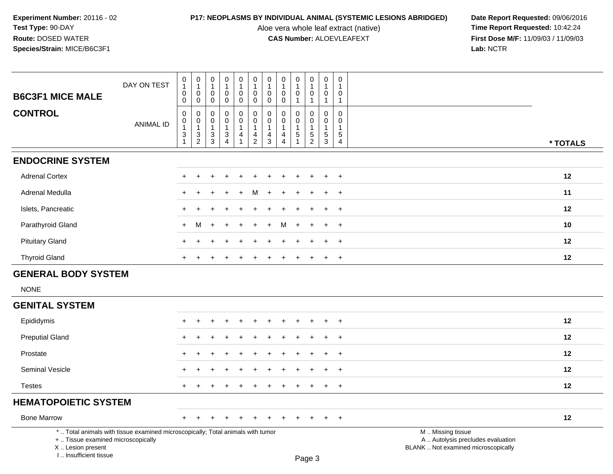Aloe vera whole leaf extract (native)<br>**CAS Number:** ALOEVLEAFEXT

| <b>B6C3F1 MICE MALE</b>                                                                                                                                             | DAY ON TEST      | 0<br>$\mathbf{1}$<br>$\mathbf 0$<br>0                                                 | 0<br>$\mathbf{1}$<br>0<br>$\mathbf 0$                             | $\boldsymbol{0}$<br>$\mathbf{1}$<br>$\mathbf 0$<br>$\mathbf 0$ | $\overline{0}$<br>$\mathbf{1}$<br>0<br>$\pmb{0}$                                        | 0<br>$\mathbf{1}$<br>$\pmb{0}$<br>$\mathsf{O}\xspace$                        | 0<br>$\overline{1}$<br>$\mathbf 0$<br>$\mathbf 0$         | 0<br>$\mathbf{1}$<br>$\mathbf 0$<br>0        | 0<br>$\mathbf{1}$<br>0<br>$\mathbf 0$                                       | 0<br>$\mathbf{1}$<br>$\mathbf 0$<br>$\mathbf{1}$      | 0<br>$\mathbf{1}$<br>$\pmb{0}$<br>$\mathbf{1}$    | 0<br>$\mathbf{1}$<br>$\pmb{0}$<br>$\overline{1}$            | 0<br>$\mathbf{1}$<br>$\Omega$<br>$\mathbf{1}$                    |                                                                                               |  |
|---------------------------------------------------------------------------------------------------------------------------------------------------------------------|------------------|---------------------------------------------------------------------------------------|-------------------------------------------------------------------|----------------------------------------------------------------|-----------------------------------------------------------------------------------------|------------------------------------------------------------------------------|-----------------------------------------------------------|----------------------------------------------|-----------------------------------------------------------------------------|-------------------------------------------------------|---------------------------------------------------|-------------------------------------------------------------|------------------------------------------------------------------|-----------------------------------------------------------------------------------------------|--|
| <b>CONTROL</b>                                                                                                                                                      | <b>ANIMAL ID</b> | $\pmb{0}$<br>$\mathbf 0$<br>$\mathbf{1}$<br>$\ensuremath{\mathsf{3}}$<br>$\mathbf{1}$ | $\pmb{0}$<br>$\mathsf{O}\xspace$<br>$\mathbf{1}$<br>$\frac{3}{2}$ | $\mathbf 0$<br>0<br>$\overline{1}$<br>$\frac{3}{3}$            | $\pmb{0}$<br>$\mathbf 0$<br>$\mathbf{1}$<br>$\ensuremath{\mathsf{3}}$<br>$\overline{4}$ | $\pmb{0}$<br>$\mathbf 0$<br>$\mathbf{1}$<br>$\overline{a}$<br>$\overline{1}$ | $\pmb{0}$<br>$\mathbf 0$<br>$\mathbf{1}$<br>$\frac{4}{2}$ | $\mathbf 0$<br>0<br>1<br>$\overline{4}$<br>3 | $\Omega$<br>$\mathbf 0$<br>$\mathbf{1}$<br>$\overline{4}$<br>$\overline{4}$ | $\Omega$<br>$\mathbf 0$<br>$\mathbf{1}$<br>$\sqrt{5}$ | $\mathbf 0$<br>0<br>$\mathbf{1}$<br>$\frac{5}{2}$ | $\pmb{0}$<br>$\mathbf 0$<br>$\overline{1}$<br>$\frac{5}{3}$ | $\mathbf 0$<br>$\Omega$<br>$\overline{1}$<br>5<br>$\overline{4}$ | * TOTALS                                                                                      |  |
| <b>ENDOCRINE SYSTEM</b>                                                                                                                                             |                  |                                                                                       |                                                                   |                                                                |                                                                                         |                                                                              |                                                           |                                              |                                                                             |                                                       |                                                   |                                                             |                                                                  |                                                                                               |  |
| <b>Adrenal Cortex</b>                                                                                                                                               |                  |                                                                                       |                                                                   |                                                                |                                                                                         |                                                                              |                                                           |                                              |                                                                             |                                                       |                                                   |                                                             | $\ddot{}$                                                        | 12                                                                                            |  |
| Adrenal Medulla                                                                                                                                                     |                  |                                                                                       |                                                                   |                                                                |                                                                                         |                                                                              | M                                                         |                                              |                                                                             |                                                       |                                                   |                                                             | $\ddot{}$                                                        | 11                                                                                            |  |
| Islets, Pancreatic                                                                                                                                                  |                  |                                                                                       |                                                                   |                                                                |                                                                                         |                                                                              |                                                           |                                              |                                                                             |                                                       |                                                   |                                                             | $\overline{+}$                                                   | 12                                                                                            |  |
| Parathyroid Gland                                                                                                                                                   |                  | $+$                                                                                   | м                                                                 |                                                                |                                                                                         |                                                                              |                                                           |                                              | м                                                                           | $\div$                                                | $\ddot{}$                                         | $\ddot{}$                                                   | $+$                                                              | 10                                                                                            |  |
| <b>Pituitary Gland</b>                                                                                                                                              |                  |                                                                                       |                                                                   |                                                                |                                                                                         |                                                                              |                                                           |                                              |                                                                             |                                                       |                                                   | $\ddot{}$                                                   | $\ddot{}$                                                        | 12                                                                                            |  |
| <b>Thyroid Gland</b>                                                                                                                                                |                  |                                                                                       |                                                                   |                                                                |                                                                                         |                                                                              |                                                           |                                              |                                                                             |                                                       | $\pm$                                             | $\overline{+}$                                              | $+$                                                              | 12                                                                                            |  |
| <b>GENERAL BODY SYSTEM</b>                                                                                                                                          |                  |                                                                                       |                                                                   |                                                                |                                                                                         |                                                                              |                                                           |                                              |                                                                             |                                                       |                                                   |                                                             |                                                                  |                                                                                               |  |
| <b>NONE</b>                                                                                                                                                         |                  |                                                                                       |                                                                   |                                                                |                                                                                         |                                                                              |                                                           |                                              |                                                                             |                                                       |                                                   |                                                             |                                                                  |                                                                                               |  |
| <b>GENITAL SYSTEM</b>                                                                                                                                               |                  |                                                                                       |                                                                   |                                                                |                                                                                         |                                                                              |                                                           |                                              |                                                                             |                                                       |                                                   |                                                             |                                                                  |                                                                                               |  |
| Epididymis                                                                                                                                                          |                  |                                                                                       |                                                                   |                                                                |                                                                                         |                                                                              |                                                           |                                              |                                                                             |                                                       |                                                   |                                                             | $\ddot{}$                                                        | 12                                                                                            |  |
| <b>Preputial Gland</b>                                                                                                                                              |                  |                                                                                       |                                                                   |                                                                |                                                                                         |                                                                              |                                                           |                                              |                                                                             |                                                       |                                                   |                                                             | $\ddot{}$                                                        | 12                                                                                            |  |
| Prostate                                                                                                                                                            |                  |                                                                                       |                                                                   |                                                                |                                                                                         |                                                                              |                                                           |                                              |                                                                             |                                                       |                                                   |                                                             | $\div$                                                           | 12                                                                                            |  |
| Seminal Vesicle                                                                                                                                                     |                  |                                                                                       |                                                                   |                                                                |                                                                                         |                                                                              |                                                           |                                              |                                                                             |                                                       |                                                   |                                                             | $+$                                                              | 12                                                                                            |  |
| <b>Testes</b>                                                                                                                                                       |                  | $+$                                                                                   |                                                                   |                                                                |                                                                                         |                                                                              |                                                           |                                              |                                                                             |                                                       | $\ddot{}$                                         | $\pm$                                                       | $+$                                                              | 12                                                                                            |  |
| <b>HEMATOPOIETIC SYSTEM</b>                                                                                                                                         |                  |                                                                                       |                                                                   |                                                                |                                                                                         |                                                                              |                                                           |                                              |                                                                             |                                                       |                                                   |                                                             |                                                                  |                                                                                               |  |
| <b>Bone Marrow</b>                                                                                                                                                  |                  |                                                                                       |                                                                   |                                                                |                                                                                         |                                                                              |                                                           |                                              |                                                                             |                                                       |                                                   |                                                             | $+$                                                              | 12                                                                                            |  |
| *  Total animals with tissue examined microscopically; Total animals with tumor<br>+  Tissue examined microscopically<br>X  Lesion present<br>I Insufficient tissue |                  |                                                                                       |                                                                   |                                                                |                                                                                         |                                                                              |                                                           |                                              |                                                                             |                                                       | Page 3                                            |                                                             |                                                                  | M  Missing tissue<br>A  Autolysis precludes evaluation<br>BLANK  Not examined microscopically |  |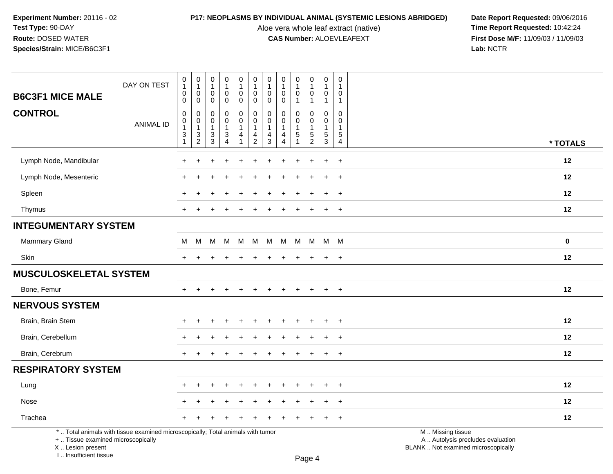Aloe vera whole leaf extract (native)<br>**CAS Number:** ALOEVLEAFEXT

**P17: NEOPLASMS BY INDIVIDUAL ANIMAL (SYSTEMIC LESIONS ABRIDGED)** Date Report Requested: 09/06/2016<br>Aloe vera whole leaf extract (native) **Time Report Requested:** 10:42:24 **First Dose M/F:** 11/09/03 / 11/09/03<br>Lab: NCTR **Lab:** NCTR

| <b>B6C3F1 MICE MALE</b>            | DAY ON TEST                                                                     | $\begin{smallmatrix}0\\1\end{smallmatrix}$<br>$\mathbf 0$                                                 | $\pmb{0}$<br>$\mathbf{1}$<br>$\boldsymbol{0}$                                                          | $\begin{smallmatrix}0\\1\end{smallmatrix}$<br>$\mathbf 0$                                   | $\pmb{0}$<br>$\mathbf{1}$<br>$\pmb{0}$                                                       | $\pmb{0}$<br>$\mathbf{1}$<br>$\mathbf 0$                                                    | $\begin{smallmatrix} 0\\ 1 \end{smallmatrix}$<br>$\mathbf 0$     | 0<br>$\mathbf{1}$<br>$\mathbf 0$                          | $\begin{smallmatrix}0\\1\end{smallmatrix}$<br>$\pmb{0}$                                              | $\pmb{0}$<br>$\mathbf{1}$<br>$\mathbf 0$                                      | $\pmb{0}$<br>$\mathbf{1}$<br>$\mathbf 0$                          | $\pmb{0}$<br>$\mathbf{1}$<br>$\mathbf 0$                                      | 0<br>$\overline{1}$<br>$\mathbf{0}$                              |                                                        |
|------------------------------------|---------------------------------------------------------------------------------|-----------------------------------------------------------------------------------------------------------|--------------------------------------------------------------------------------------------------------|---------------------------------------------------------------------------------------------|----------------------------------------------------------------------------------------------|---------------------------------------------------------------------------------------------|------------------------------------------------------------------|-----------------------------------------------------------|------------------------------------------------------------------------------------------------------|-------------------------------------------------------------------------------|-------------------------------------------------------------------|-------------------------------------------------------------------------------|------------------------------------------------------------------|--------------------------------------------------------|
| <b>CONTROL</b>                     | <b>ANIMAL ID</b>                                                                | $\mathbf 0$<br>$\boldsymbol{0}$<br>$\pmb{0}$<br>$\mathbf{1}$<br>$\ensuremath{\mathsf{3}}$<br>$\mathbf{1}$ | $\mathbf 0$<br>0<br>$\mathsf{O}\xspace$<br>$\mathbf{1}$<br>$\ensuremath{\mathsf{3}}$<br>$\overline{2}$ | $\mathsf{O}\xspace$<br>0<br>$\mathbf 0$<br>$\overline{1}$<br>$\ensuremath{\mathsf{3}}$<br>3 | $\pmb{0}$<br>0<br>$\mathbf 0$<br>$\mathbf{1}$<br>$\ensuremath{\mathsf{3}}$<br>$\overline{4}$ | $\mathsf{O}\xspace$<br>0<br>$\mathbf 0$<br>$\mathbf{1}$<br>$\overline{4}$<br>$\overline{1}$ | $\mathbf 0$<br>0<br>$\mathbf 0$<br>$\mathbf{1}$<br>$\frac{4}{2}$ | $\mathbf 0$<br>0<br>$\mathbf 0$<br>$\mathbf{1}$<br>4<br>3 | $\pmb{0}$<br>$\mathbf 0$<br>$\mathbf 0$<br>$\mathbf{1}$<br>$\overline{\mathbf{4}}$<br>$\overline{4}$ | $\mathbf{1}$<br>0<br>$\mathbf 0$<br>$\mathbf{1}$<br>5<br>$\blacktriangleleft$ | $\mathbf{1}$<br>0<br>$\mathbf 0$<br>$\mathbf{1}$<br>$\frac{5}{2}$ | $\mathbf{1}$<br>$\mathbf 0$<br>$\mathbf 0$<br>$\overline{1}$<br>$\frac{5}{3}$ | $\mathbf{1}$<br>$\Omega$<br>$\Omega$<br>$\overline{1}$<br>5<br>4 | * TOTALS                                               |
|                                    |                                                                                 |                                                                                                           |                                                                                                        |                                                                                             |                                                                                              |                                                                                             |                                                                  |                                                           |                                                                                                      |                                                                               |                                                                   |                                                                               |                                                                  |                                                        |
| Lymph Node, Mandibular             |                                                                                 | ÷                                                                                                         |                                                                                                        |                                                                                             |                                                                                              |                                                                                             |                                                                  |                                                           |                                                                                                      |                                                                               |                                                                   | ÷                                                                             | $+$                                                              | 12                                                     |
| Lymph Node, Mesenteric             |                                                                                 |                                                                                                           |                                                                                                        |                                                                                             |                                                                                              |                                                                                             |                                                                  |                                                           |                                                                                                      |                                                                               |                                                                   |                                                                               | $\ddot{}$                                                        | 12                                                     |
| Spleen                             |                                                                                 | $+$                                                                                                       |                                                                                                        |                                                                                             |                                                                                              |                                                                                             |                                                                  |                                                           |                                                                                                      |                                                                               |                                                                   |                                                                               | $\ddot{}$                                                        | 12                                                     |
| Thymus                             |                                                                                 | $+$                                                                                                       |                                                                                                        |                                                                                             |                                                                                              |                                                                                             |                                                                  |                                                           |                                                                                                      | $\ddot{}$                                                                     | $\ddot{}$                                                         | $\pm$                                                                         | $+$                                                              | 12                                                     |
| <b>INTEGUMENTARY SYSTEM</b>        |                                                                                 |                                                                                                           |                                                                                                        |                                                                                             |                                                                                              |                                                                                             |                                                                  |                                                           |                                                                                                      |                                                                               |                                                                   |                                                                               |                                                                  |                                                        |
| Mammary Gland                      |                                                                                 | M                                                                                                         | M                                                                                                      | м                                                                                           | М                                                                                            | M                                                                                           | M                                                                | M                                                         | M                                                                                                    | M                                                                             | M                                                                 |                                                                               | M M                                                              | $\mathbf 0$                                            |
| Skin                               |                                                                                 | $+$                                                                                                       |                                                                                                        |                                                                                             |                                                                                              |                                                                                             |                                                                  |                                                           |                                                                                                      | $\pm$                                                                         | $\ddot{}$                                                         | $+$                                                                           | $+$                                                              | 12                                                     |
| <b>MUSCULOSKELETAL SYSTEM</b>      |                                                                                 |                                                                                                           |                                                                                                        |                                                                                             |                                                                                              |                                                                                             |                                                                  |                                                           |                                                                                                      |                                                                               |                                                                   |                                                                               |                                                                  |                                                        |
| Bone, Femur                        |                                                                                 | $+$                                                                                                       | $\ddot{}$                                                                                              | $\ddot{}$                                                                                   | $\div$                                                                                       | $\ddot{}$                                                                                   | $\ddot{}$                                                        | $\ddot{}$                                                 | $\ddot{}$                                                                                            | $+$                                                                           | $\ddot{}$                                                         | $+$                                                                           | $+$                                                              | 12                                                     |
| <b>NERVOUS SYSTEM</b>              |                                                                                 |                                                                                                           |                                                                                                        |                                                                                             |                                                                                              |                                                                                             |                                                                  |                                                           |                                                                                                      |                                                                               |                                                                   |                                                                               |                                                                  |                                                        |
| Brain, Brain Stem                  |                                                                                 |                                                                                                           |                                                                                                        |                                                                                             |                                                                                              |                                                                                             |                                                                  |                                                           |                                                                                                      |                                                                               |                                                                   |                                                                               |                                                                  | 12                                                     |
| Brain, Cerebellum                  |                                                                                 |                                                                                                           |                                                                                                        |                                                                                             |                                                                                              |                                                                                             |                                                                  |                                                           |                                                                                                      |                                                                               |                                                                   |                                                                               | $\ddot{}$                                                        | 12                                                     |
| Brain, Cerebrum                    |                                                                                 | $+$                                                                                                       | $\div$                                                                                                 |                                                                                             |                                                                                              |                                                                                             |                                                                  |                                                           |                                                                                                      | $\div$                                                                        | $\ddot{}$                                                         | $\pm$                                                                         | $+$                                                              | 12                                                     |
| <b>RESPIRATORY SYSTEM</b>          |                                                                                 |                                                                                                           |                                                                                                        |                                                                                             |                                                                                              |                                                                                             |                                                                  |                                                           |                                                                                                      |                                                                               |                                                                   |                                                                               |                                                                  |                                                        |
| Lung                               |                                                                                 |                                                                                                           |                                                                                                        |                                                                                             |                                                                                              |                                                                                             |                                                                  |                                                           |                                                                                                      |                                                                               |                                                                   |                                                                               | $+$                                                              | 12                                                     |
| Nose                               |                                                                                 |                                                                                                           |                                                                                                        |                                                                                             |                                                                                              |                                                                                             |                                                                  |                                                           |                                                                                                      |                                                                               |                                                                   |                                                                               | $\ddot{}$                                                        | 12                                                     |
| Trachea                            |                                                                                 |                                                                                                           |                                                                                                        |                                                                                             |                                                                                              |                                                                                             |                                                                  |                                                           |                                                                                                      |                                                                               |                                                                   |                                                                               | $+$                                                              | 12                                                     |
| +  Tissue examined microscopically | *  Total animals with tissue examined microscopically; Total animals with tumor |                                                                                                           |                                                                                                        |                                                                                             |                                                                                              |                                                                                             |                                                                  |                                                           |                                                                                                      |                                                                               |                                                                   |                                                                               |                                                                  | M  Missing tissue<br>A  Autolysis precludes evaluation |

+ .. Tissue examined microscopically

 Lesion present BLANK .. Not examined microscopicallyX .. Lesion present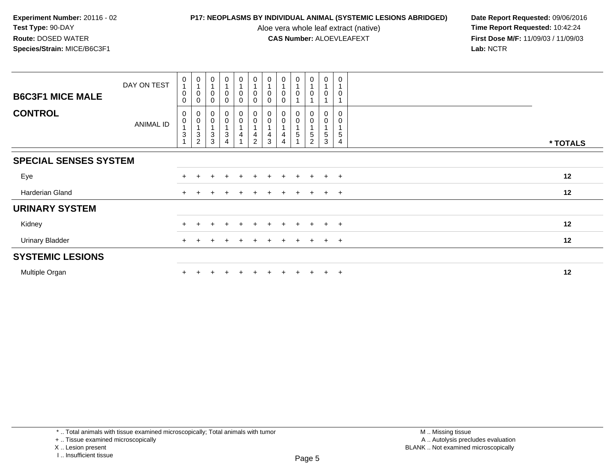Aloe vera whole leaf extract (native)<br>**CAS Number:** ALOEVLEAFEXT

**P17: NEOPLASMS BY INDIVIDUAL ANIMAL (SYSTEMIC LESIONS ABRIDGED)** Date Report Requested: 09/06/2016<br>Aloe vera whole leaf extract (native) **Time Report Requested:** 10:42:24 **First Dose M/F:** 11/09/03 / 11/09/03<br>Lab: NCTR **Lab:** NCTR

| <b>B6C3F1 MICE MALE</b>      | DAY ON TEST | $\mathbf 0$<br>$\overline{A}$<br>$\pmb{0}$<br>$\mathbf 0$ | $\begin{smallmatrix}0\\1\end{smallmatrix}$<br>0<br>0                 | $\mathbf 0$<br>$\overline{1}$<br>$\mathbf 0$<br>$\Omega$ | $\overline{0}$<br>$\pmb{0}$<br>$\Omega$ | $\mathbf 0$<br>$\overline{A}$<br>0 | $\pmb{0}$<br>$\overline{A}$<br>$\mathbf 0$<br>$\mathbf 0$  | 0                | $\boldsymbol{0}$<br>$\overline{1}$<br>$\mathbf 0$<br>$\Omega$ | $\begin{smallmatrix}0\\1\end{smallmatrix}$<br>$\pmb{0}$ | $\pmb{0}$<br>$\overline{1}$<br>$\mathbf 0$ | $\,0\,$<br>0               | $\pmb{0}$<br>$\overline{\mathbf{1}}$<br>$\mathbf 0$ |          |  |
|------------------------------|-------------|-----------------------------------------------------------|----------------------------------------------------------------------|----------------------------------------------------------|-----------------------------------------|------------------------------------|------------------------------------------------------------|------------------|---------------------------------------------------------------|---------------------------------------------------------|--------------------------------------------|----------------------------|-----------------------------------------------------|----------|--|
| <b>CONTROL</b>               | ANIMAL ID   | 0<br>$\pmb{0}$<br>$\sqrt{3}$                              | 0<br>$\mathbf 0$<br>$\overline{A}$<br>$\mathbf{3}$<br>$\overline{c}$ | 0<br>$\pmb{0}$<br>3<br>3                                 | $\mathbf 0$<br>$\overline{0}$<br>3<br>4 | 0<br>$\mathsf 0$                   | $\begin{matrix} 0 \\ 0 \end{matrix}$<br>4<br>$\mathcal{P}$ | $\mathbf 0$<br>3 | 0<br>$\overline{0}$<br>4<br>4                                 | $_{0}^{0}$<br>1<br>5                                    | 0<br>$\mathbf 0$<br>5<br>2                 | 0<br>$\mathbf 0$<br>5<br>3 | 0<br>$\mathbf 0$<br>5<br>4                          | * TOTALS |  |
| <b>SPECIAL SENSES SYSTEM</b> |             |                                                           |                                                                      |                                                          |                                         |                                    |                                                            |                  |                                                               |                                                         |                                            |                            |                                                     |          |  |
| Eye                          |             |                                                           |                                                                      |                                                          |                                         |                                    |                                                            |                  |                                                               |                                                         |                                            |                            | $\ddot{}$                                           | 12       |  |
| Harderian Gland              |             | $+$                                                       |                                                                      |                                                          |                                         |                                    |                                                            |                  |                                                               | $\ddot{}$                                               |                                            | $+$                        | $+$                                                 | 12       |  |
| <b>URINARY SYSTEM</b>        |             |                                                           |                                                                      |                                                          |                                         |                                    |                                                            |                  |                                                               |                                                         |                                            |                            |                                                     |          |  |
| Kidney                       |             |                                                           |                                                                      |                                                          |                                         |                                    |                                                            |                  |                                                               |                                                         |                                            |                            | $+$                                                 | 12       |  |
| <b>Urinary Bladder</b>       |             |                                                           |                                                                      |                                                          |                                         |                                    |                                                            |                  |                                                               | $+$                                                     |                                            | $+$                        | $+$                                                 | 12       |  |
| <b>SYSTEMIC LESIONS</b>      |             |                                                           |                                                                      |                                                          |                                         |                                    |                                                            |                  |                                                               |                                                         |                                            |                            |                                                     |          |  |
| Multiple Organ               |             |                                                           |                                                                      |                                                          |                                         |                                    |                                                            |                  |                                                               |                                                         |                                            | $+$                        | $\ddot{}$                                           | 12       |  |

\* .. Total animals with tissue examined microscopically; Total animals with tumor

+ .. Tissue examined microscopically

X .. Lesion present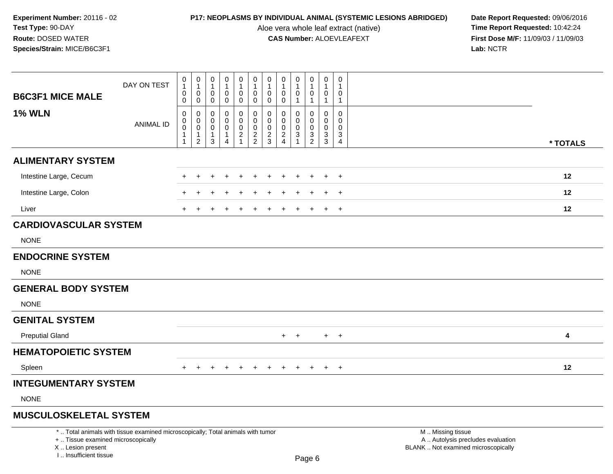Aloe vera whole leaf extract (native)<br>**CAS Number:** ALOEVLEAFEXT

| <b>B6C3F1 MICE MALE</b>                                                           | DAY ON TEST                                                                     | 0<br>$\mathbf{1}$<br>$\pmb{0}$<br>0                            | $\mathbf 0$<br>$\mathbf{1}$<br>$\mathbf 0$<br>$\mathbf 0$               | 0<br>$\mathbf{1}$<br>0<br>0                | 0<br>$\mathbf{1}$<br>$\pmb{0}$<br>0                                       | 0<br>$\mathbf{1}$<br>$\mathsf 0$<br>0                                         | $\pmb{0}$<br>$\mathbf{1}$<br>$\mathsf{O}\xspace$<br>$\boldsymbol{0}$ | $\mathbf 0$<br>$\overline{1}$<br>$\mathbf 0$<br>$\mathbf 0$ | 0<br>$\overline{1}$<br>$\mathbf 0$<br>$\mathbf 0$          | 0<br>$\mathbf{1}$<br>$\pmb{0}$<br>$\mathbf{1}$                                    | $\pmb{0}$<br>$\mathbf{1}$<br>$\mathsf{O}\xspace$<br>$\mathbf{1}$ | $\pmb{0}$<br>$\mathbf{1}$<br>$\mathsf{O}\xspace$<br>$\mathbf{1}$       | $\mathbf 0$<br>$\mathbf 1$<br>0<br>$\mathbf{1}$               |                                                                                               |          |
|-----------------------------------------------------------------------------------|---------------------------------------------------------------------------------|----------------------------------------------------------------|-------------------------------------------------------------------------|--------------------------------------------|---------------------------------------------------------------------------|-------------------------------------------------------------------------------|----------------------------------------------------------------------|-------------------------------------------------------------|------------------------------------------------------------|-----------------------------------------------------------------------------------|------------------------------------------------------------------|------------------------------------------------------------------------|---------------------------------------------------------------|-----------------------------------------------------------------------------------------------|----------|
| <b>1% WLN</b>                                                                     | <b>ANIMAL ID</b>                                                                | $\mathbf 0$<br>$\pmb{0}$<br>$\mathbf 0$<br>$\overline{1}$<br>1 | $\mathbf 0$<br>$\mathbf 0$<br>$\,0\,$<br>$\mathbf{1}$<br>$\overline{2}$ | 0<br>$\mathbf 0$<br>0<br>$\mathbf{1}$<br>3 | $\mathbf 0$<br>$\mathbf 0$<br>$\pmb{0}$<br>$\mathbf{1}$<br>$\overline{4}$ | $\mathbf 0$<br>$\mathbf 0$<br>$\mathsf 0$<br>$\overline{2}$<br>$\overline{1}$ | $\mathbf 0$<br>$\mathbf 0$<br>$\mathsf{O}\xspace$<br>$\frac{2}{2}$   | $\mathbf 0$<br>$\mathbf 0$<br>$\pmb{0}$<br>$\frac{2}{3}$    | $\mathbf 0$<br>$\mathbf 0$<br>$\mathbf 0$<br>$\frac{2}{4}$ | $\mathbf 0$<br>$\Omega$<br>$\pmb{0}$<br>$\ensuremath{\mathsf{3}}$<br>$\mathbf{1}$ | $\mathbf 0$<br>$\mathbf 0$<br>$\mathbf 0$<br>$\frac{3}{2}$       | $\mathbf 0$<br>$\mathbf 0$<br>$\mathsf{O}\xspace$<br>$\mathbf{3}$<br>3 | $\mathbf 0$<br>$\Omega$<br>$\mathbf 0$<br>3<br>$\overline{4}$ |                                                                                               | * TOTALS |
| <b>ALIMENTARY SYSTEM</b>                                                          |                                                                                 |                                                                |                                                                         |                                            |                                                                           |                                                                               |                                                                      |                                                             |                                                            |                                                                                   |                                                                  |                                                                        |                                                               |                                                                                               |          |
| Intestine Large, Cecum                                                            |                                                                                 |                                                                |                                                                         |                                            |                                                                           | $\div$                                                                        | $\ddot{}$                                                            |                                                             |                                                            |                                                                                   | $\ddot{}$                                                        | $\pm$                                                                  | $+$                                                           |                                                                                               | 12       |
| Intestine Large, Colon                                                            |                                                                                 |                                                                |                                                                         |                                            |                                                                           |                                                                               |                                                                      |                                                             |                                                            |                                                                                   |                                                                  |                                                                        | $\ddot{}$                                                     |                                                                                               | 12       |
| Liver                                                                             |                                                                                 |                                                                |                                                                         |                                            |                                                                           |                                                                               |                                                                      |                                                             |                                                            |                                                                                   |                                                                  | +                                                                      | $+$                                                           |                                                                                               | 12       |
| <b>CARDIOVASCULAR SYSTEM</b>                                                      |                                                                                 |                                                                |                                                                         |                                            |                                                                           |                                                                               |                                                                      |                                                             |                                                            |                                                                                   |                                                                  |                                                                        |                                                               |                                                                                               |          |
| <b>NONE</b>                                                                       |                                                                                 |                                                                |                                                                         |                                            |                                                                           |                                                                               |                                                                      |                                                             |                                                            |                                                                                   |                                                                  |                                                                        |                                                               |                                                                                               |          |
| <b>ENDOCRINE SYSTEM</b>                                                           |                                                                                 |                                                                |                                                                         |                                            |                                                                           |                                                                               |                                                                      |                                                             |                                                            |                                                                                   |                                                                  |                                                                        |                                                               |                                                                                               |          |
| <b>NONE</b>                                                                       |                                                                                 |                                                                |                                                                         |                                            |                                                                           |                                                                               |                                                                      |                                                             |                                                            |                                                                                   |                                                                  |                                                                        |                                                               |                                                                                               |          |
| <b>GENERAL BODY SYSTEM</b>                                                        |                                                                                 |                                                                |                                                                         |                                            |                                                                           |                                                                               |                                                                      |                                                             |                                                            |                                                                                   |                                                                  |                                                                        |                                                               |                                                                                               |          |
| <b>NONE</b>                                                                       |                                                                                 |                                                                |                                                                         |                                            |                                                                           |                                                                               |                                                                      |                                                             |                                                            |                                                                                   |                                                                  |                                                                        |                                                               |                                                                                               |          |
| <b>GENITAL SYSTEM</b>                                                             |                                                                                 |                                                                |                                                                         |                                            |                                                                           |                                                                               |                                                                      |                                                             |                                                            |                                                                                   |                                                                  |                                                                        |                                                               |                                                                                               |          |
| <b>Preputial Gland</b>                                                            |                                                                                 |                                                                |                                                                         |                                            |                                                                           |                                                                               |                                                                      |                                                             |                                                            | $+$ $+$                                                                           |                                                                  | $+$                                                                    | $+$                                                           |                                                                                               | 4        |
| <b>HEMATOPOIETIC SYSTEM</b>                                                       |                                                                                 |                                                                |                                                                         |                                            |                                                                           |                                                                               |                                                                      |                                                             |                                                            |                                                                                   |                                                                  |                                                                        |                                                               |                                                                                               |          |
| Spleen                                                                            |                                                                                 | $+$                                                            | $+$                                                                     | $\ddot{}$                                  | $\ddot{}$                                                                 | $+$                                                                           | $+$                                                                  | $+$                                                         | $+$                                                        | $+$                                                                               | $+$                                                              | $+$                                                                    | $+$                                                           |                                                                                               | 12       |
| <b>INTEGUMENTARY SYSTEM</b>                                                       |                                                                                 |                                                                |                                                                         |                                            |                                                                           |                                                                               |                                                                      |                                                             |                                                            |                                                                                   |                                                                  |                                                                        |                                                               |                                                                                               |          |
| <b>NONE</b>                                                                       |                                                                                 |                                                                |                                                                         |                                            |                                                                           |                                                                               |                                                                      |                                                             |                                                            |                                                                                   |                                                                  |                                                                        |                                                               |                                                                                               |          |
| <b>MUSCULOSKELETAL SYSTEM</b>                                                     |                                                                                 |                                                                |                                                                         |                                            |                                                                           |                                                                               |                                                                      |                                                             |                                                            |                                                                                   |                                                                  |                                                                        |                                                               |                                                                                               |          |
| +  Tissue examined microscopically<br>X  Lesion present<br>L. Insufficient tissue | *  Total animals with tissue examined microscopically; Total animals with tumor |                                                                |                                                                         |                                            |                                                                           |                                                                               |                                                                      |                                                             |                                                            |                                                                                   | Page 6                                                           |                                                                        |                                                               | M  Missing tissue<br>A  Autolysis precludes evaluation<br>BLANK  Not examined microscopically |          |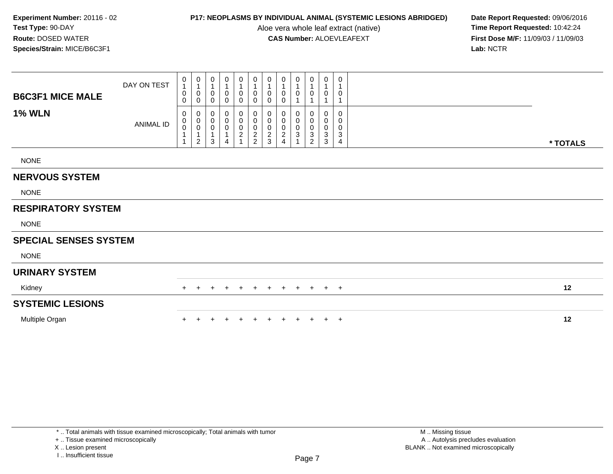Aloe vera whole leaf extract (native)<br>**CAS Number:** ALOEVLEAFEXT

**P17: NEOPLASMS BY INDIVIDUAL ANIMAL (SYSTEMIC LESIONS ABRIDGED)** Date Report Requested: 09/06/2016<br>Aloe vera whole leaf extract (native) **Time Report Requested:** 10:42:24 **First Dose M/F:** 11/09/03 / 11/09/03<br>Lab: NCTR **Lab:** NCTR

| <b>B6C3F1 MICE MALE</b>      | DAY ON TEST      | 0<br>$\mathbf{1}$<br>0<br>0 | 0<br>0<br>$\mathbf 0$                 | 0<br>$\overline{1}$<br>0<br>$\mathbf 0$                    | 0<br>$\mathbf{1}$<br>$\pmb{0}$<br>$\mathbf 0$                 | 0<br>0<br>0                                               | 0<br>$\mathbf{1}$<br>$\pmb{0}$<br>$\pmb{0}$  | 0<br>0<br>0                                   | 0<br>0<br>0                                    | 0<br>0                                                   | $\mathbf 0$<br>$\overline{1}$<br>0<br>1                      | 0<br>1<br>0<br>1                | 0<br>0                |          |
|------------------------------|------------------|-----------------------------|---------------------------------------|------------------------------------------------------------|---------------------------------------------------------------|-----------------------------------------------------------|----------------------------------------------|-----------------------------------------------|------------------------------------------------|----------------------------------------------------------|--------------------------------------------------------------|---------------------------------|-----------------------|----------|
| <b>1% WLN</b>                | <b>ANIMAL ID</b> | 0<br>$\pmb{0}$<br>$\pmb{0}$ | 0<br>$\overline{0}$<br>$\overline{2}$ | 0<br>$\pmb{0}$<br>$\pmb{0}$<br>$\mathbf{1}$<br>$\mathbf 3$ | 0<br>$\pmb{0}$<br>$\pmb{0}$<br>$\mathbf{1}$<br>$\overline{4}$ | 0<br>$\mathbf 0$<br>0<br>$\overline{a}$<br>$\overline{1}$ | 0<br>$\pmb{0}$<br>$\pmb{0}$<br>$\frac{2}{2}$ | 0<br>0<br>0<br>$\overline{c}$<br>$\mathbf{3}$ | $\pmb{0}$<br>0<br>$\sqrt{2}$<br>$\overline{4}$ | 0<br>$\pmb{0}$<br>$\pmb{0}$<br>$\ensuremath{\mathsf{3}}$ | 0<br>$\overline{0}$<br>$0$<br>$\ensuremath{\mathsf{3}}$<br>2 | 0<br>0<br>0<br>$\mathsf 3$<br>3 | 0<br>0<br>0<br>3<br>4 |          |
| <b>NONE</b>                  |                  |                             |                                       |                                                            |                                                               |                                                           |                                              |                                               |                                                |                                                          |                                                              |                                 |                       | * TOTALS |
| <b>NERVOUS SYSTEM</b>        |                  |                             |                                       |                                                            |                                                               |                                                           |                                              |                                               |                                                |                                                          |                                                              |                                 |                       |          |
| <b>NONE</b>                  |                  |                             |                                       |                                                            |                                                               |                                                           |                                              |                                               |                                                |                                                          |                                                              |                                 |                       |          |
| <b>RESPIRATORY SYSTEM</b>    |                  |                             |                                       |                                                            |                                                               |                                                           |                                              |                                               |                                                |                                                          |                                                              |                                 |                       |          |
| <b>NONE</b>                  |                  |                             |                                       |                                                            |                                                               |                                                           |                                              |                                               |                                                |                                                          |                                                              |                                 |                       |          |
| <b>SPECIAL SENSES SYSTEM</b> |                  |                             |                                       |                                                            |                                                               |                                                           |                                              |                                               |                                                |                                                          |                                                              |                                 |                       |          |
| <b>NONE</b>                  |                  |                             |                                       |                                                            |                                                               |                                                           |                                              |                                               |                                                |                                                          |                                                              |                                 |                       |          |
| <b>URINARY SYSTEM</b>        |                  |                             |                                       |                                                            |                                                               |                                                           |                                              |                                               |                                                |                                                          |                                                              |                                 |                       |          |
| Kidney                       |                  |                             |                                       |                                                            |                                                               | $\pm$                                                     |                                              | $\pm$                                         | $\pm$                                          | $\pm$                                                    | $+$                                                          | $+$                             | $+$                   | 12       |
| <b>SYSTEMIC LESIONS</b>      |                  |                             |                                       |                                                            |                                                               |                                                           |                                              |                                               |                                                |                                                          |                                                              |                                 |                       |          |
| Multiple Organ               |                  |                             |                                       |                                                            |                                                               |                                                           |                                              |                                               |                                                | $\ddot{}$                                                | $+$                                                          | $+$                             | $+$                   | 12       |

+ .. Tissue examined microscopically

X .. Lesion present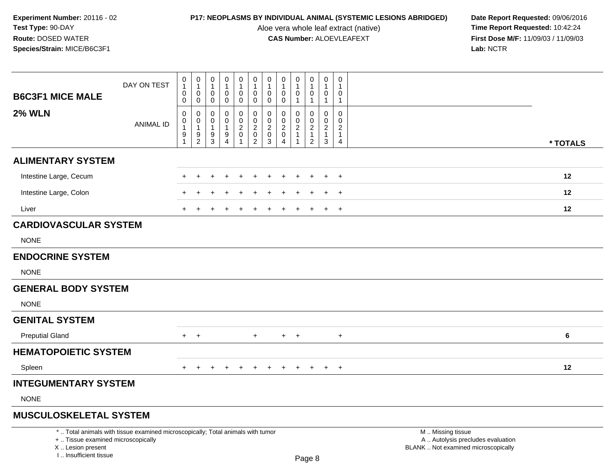Aloe vera whole leaf extract (native)<br>**CAS Number:** ALOEVLEAFEXT

| <b>B6C3F1 MICE MALE</b>                                                            | DAY ON TEST                                                                     | $\pmb{0}$<br>$\mathbf{1}$<br>$\mathbf 0$<br>$\mathbf 0$ | $\pmb{0}$<br>$\overline{1}$<br>$\mathbf 0$<br>$\mathbf 0$                 | $\pmb{0}$<br>$\mathbf{1}$<br>$\mathbf 0$<br>0        | $\pmb{0}$<br>$\mathbf{1}$<br>$\mathbf 0$<br>0               | $\pmb{0}$<br>$\mathbf{1}$<br>0<br>0                | $\mathsf 0$<br>$\mathbf{1}$<br>$\mathbf 0$<br>$\mathbf 0$           | $\pmb{0}$<br>$\mathbf{1}$<br>$\mathbf 0$<br>$\pmb{0}$                 | $\mathbf 0$<br>$\overline{1}$<br>$\mathbf 0$<br>$\mathbf 0$                   | $\mathbf 0$<br>$\overline{1}$<br>$\mathbf 0$<br>$\mathbf 1$      | $\pmb{0}$<br>$\mathbf{1}$<br>0<br>$\mathbf{1}$                       | $\Omega$<br>$\overline{1}$<br>$\mathbf 0$<br>$\mathbf{1}$              | $\,0\,$<br>1<br>0<br>$\mathbf{1}$                                           |                                                                                               |
|------------------------------------------------------------------------------------|---------------------------------------------------------------------------------|---------------------------------------------------------|---------------------------------------------------------------------------|------------------------------------------------------|-------------------------------------------------------------|----------------------------------------------------|---------------------------------------------------------------------|-----------------------------------------------------------------------|-------------------------------------------------------------------------------|------------------------------------------------------------------|----------------------------------------------------------------------|------------------------------------------------------------------------|-----------------------------------------------------------------------------|-----------------------------------------------------------------------------------------------|
| <b>2% WLN</b>                                                                      | <b>ANIMAL ID</b>                                                                | 0<br>$\mathbf 0$<br>$\mathbf{1}$<br>9<br>$\mathbf{1}$   | $\pmb{0}$<br>$\mathsf{O}\xspace$<br>$\overline{1}$<br>9<br>$\overline{2}$ | $\mathbf 0$<br>$\mathbf 0$<br>$\mathbf{1}$<br>9<br>3 | 0<br>$\mathbf 0$<br>1<br>$\boldsymbol{9}$<br>$\overline{4}$ | 0<br>$\pmb{0}$<br>$\overline{c}$<br>$\pmb{0}$<br>1 | 0<br>$\mathsf 0$<br>$\overline{c}$<br>$\mathbf 0$<br>$\overline{2}$ | $\pmb{0}$<br>$\pmb{0}$<br>$\overline{c}$<br>$\pmb{0}$<br>$\mathbf{3}$ | $\mathbf 0$<br>$\mathbf 0$<br>$\overline{2}$<br>$\mathbf 0$<br>$\overline{4}$ | 0<br>$\mathbf 0$<br>$\sqrt{2}$<br>$\mathbf{1}$<br>$\overline{1}$ | 0<br>$\mathbf 0$<br>$\overline{c}$<br>$\mathbf{1}$<br>$\overline{c}$ | $\mathbf 0$<br>$\mathbf 0$<br>$\sqrt{2}$<br>$\mathbf{1}$<br>$\sqrt{3}$ | $\mathbf 0$<br>$\Omega$<br>$\overline{2}$<br>$\mathbf{1}$<br>$\overline{4}$ | * TOTALS                                                                                      |
| <b>ALIMENTARY SYSTEM</b>                                                           |                                                                                 |                                                         |                                                                           |                                                      |                                                             |                                                    |                                                                     |                                                                       |                                                                               |                                                                  |                                                                      |                                                                        |                                                                             |                                                                                               |
| Intestine Large, Cecum                                                             |                                                                                 |                                                         |                                                                           |                                                      |                                                             |                                                    |                                                                     |                                                                       |                                                                               |                                                                  | $\div$                                                               | $\ddot{}$                                                              | $\overline{+}$                                                              | 12                                                                                            |
| Intestine Large, Colon                                                             |                                                                                 |                                                         |                                                                           |                                                      |                                                             |                                                    |                                                                     |                                                                       |                                                                               |                                                                  |                                                                      |                                                                        | $\ddot{}$                                                                   | 12                                                                                            |
| Liver                                                                              |                                                                                 |                                                         |                                                                           |                                                      |                                                             |                                                    |                                                                     |                                                                       |                                                                               |                                                                  |                                                                      | $\div$                                                                 | $\overline{+}$                                                              | 12                                                                                            |
| <b>CARDIOVASCULAR SYSTEM</b>                                                       |                                                                                 |                                                         |                                                                           |                                                      |                                                             |                                                    |                                                                     |                                                                       |                                                                               |                                                                  |                                                                      |                                                                        |                                                                             |                                                                                               |
| <b>NONE</b>                                                                        |                                                                                 |                                                         |                                                                           |                                                      |                                                             |                                                    |                                                                     |                                                                       |                                                                               |                                                                  |                                                                      |                                                                        |                                                                             |                                                                                               |
| <b>ENDOCRINE SYSTEM</b>                                                            |                                                                                 |                                                         |                                                                           |                                                      |                                                             |                                                    |                                                                     |                                                                       |                                                                               |                                                                  |                                                                      |                                                                        |                                                                             |                                                                                               |
| <b>NONE</b>                                                                        |                                                                                 |                                                         |                                                                           |                                                      |                                                             |                                                    |                                                                     |                                                                       |                                                                               |                                                                  |                                                                      |                                                                        |                                                                             |                                                                                               |
| <b>GENERAL BODY SYSTEM</b>                                                         |                                                                                 |                                                         |                                                                           |                                                      |                                                             |                                                    |                                                                     |                                                                       |                                                                               |                                                                  |                                                                      |                                                                        |                                                                             |                                                                                               |
| <b>NONE</b>                                                                        |                                                                                 |                                                         |                                                                           |                                                      |                                                             |                                                    |                                                                     |                                                                       |                                                                               |                                                                  |                                                                      |                                                                        |                                                                             |                                                                                               |
| <b>GENITAL SYSTEM</b>                                                              |                                                                                 |                                                         |                                                                           |                                                      |                                                             |                                                    |                                                                     |                                                                       |                                                                               |                                                                  |                                                                      |                                                                        |                                                                             |                                                                                               |
| <b>Preputial Gland</b>                                                             |                                                                                 | $+$                                                     | $+$                                                                       |                                                      |                                                             |                                                    | $+$                                                                 |                                                                       |                                                                               | $+$ $+$                                                          |                                                                      |                                                                        | $\ddot{}$                                                                   | 6                                                                                             |
| <b>HEMATOPOIETIC SYSTEM</b>                                                        |                                                                                 |                                                         |                                                                           |                                                      |                                                             |                                                    |                                                                     |                                                                       |                                                                               |                                                                  |                                                                      |                                                                        |                                                                             |                                                                                               |
| Spleen                                                                             |                                                                                 | $+$                                                     | $+$                                                                       | $+$                                                  | $+$                                                         | $+$                                                | $+$                                                                 | $+$                                                                   | $+$                                                                           | $+$                                                              | $+$                                                                  | $+$                                                                    | $+$                                                                         | 12                                                                                            |
| <b>INTEGUMENTARY SYSTEM</b>                                                        |                                                                                 |                                                         |                                                                           |                                                      |                                                             |                                                    |                                                                     |                                                                       |                                                                               |                                                                  |                                                                      |                                                                        |                                                                             |                                                                                               |
| <b>NONE</b>                                                                        |                                                                                 |                                                         |                                                                           |                                                      |                                                             |                                                    |                                                                     |                                                                       |                                                                               |                                                                  |                                                                      |                                                                        |                                                                             |                                                                                               |
| <b>MUSCULOSKELETAL SYSTEM</b>                                                      |                                                                                 |                                                         |                                                                           |                                                      |                                                             |                                                    |                                                                     |                                                                       |                                                                               |                                                                  |                                                                      |                                                                        |                                                                             |                                                                                               |
| +  Tissue examined microscopically<br>X  Lesion present<br>I., Insufficient tissue | *  Total animals with tissue examined microscopically; Total animals with tumor |                                                         |                                                                           |                                                      |                                                             |                                                    |                                                                     |                                                                       |                                                                               |                                                                  | Page 8                                                               |                                                                        |                                                                             | M  Missing tissue<br>A  Autolysis precludes evaluation<br>BLANK  Not examined microscopically |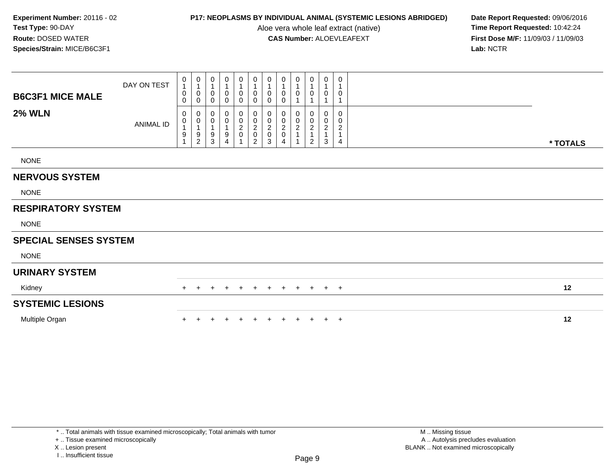Aloe vera whole leaf extract (native)<br>**CAS Number:** ALOEVLEAFEXT

**P17: NEOPLASMS BY INDIVIDUAL ANIMAL (SYSTEMIC LESIONS ABRIDGED)** Date Report Requested: 09/06/2016<br>Aloe vera whole leaf extract (native) **Time Report Requested:** 10:42:24 **First Dose M/F:** 11/09/03 / 11/09/03<br>Lab: NCTR **Lab:** NCTR

| <b>B6C3F1 MICE MALE</b>      | DAY ON TEST      | 0<br>$\mathbf{1}$<br>0<br>0                  | 0<br>1<br>0<br>$\mathbf 0$                                          | 0<br>$\overline{1}$<br>0<br>$\mathbf 0$                                     | 0<br>$\mathbf{1}$<br>$\mathbf 0$<br>$\mathbf 0$                      | 0<br>$\mathbf 0$<br>$\mathbf 0$       | 0<br>$\mathbf{1}$<br>$\mathbf 0$<br>$\pmb{0}$                          | 0<br>1<br>0<br>0                       | 0<br>0<br>0                                    | 0<br>0                                | 0<br>$\overline{1}$<br>0<br>1                                                       | 0<br>$\mathbf{1}$<br>$\mathbf 0$<br>1                    | 0<br>-1<br>0<br>1     |          |
|------------------------------|------------------|----------------------------------------------|---------------------------------------------------------------------|-----------------------------------------------------------------------------|----------------------------------------------------------------------|---------------------------------------|------------------------------------------------------------------------|----------------------------------------|------------------------------------------------|---------------------------------------|-------------------------------------------------------------------------------------|----------------------------------------------------------|-----------------------|----------|
| <b>2% WLN</b>                | <b>ANIMAL ID</b> | 0<br>0<br>$\boldsymbol{9}$<br>$\overline{ }$ | 0<br>$\pmb{0}$<br>$\mathbf 1$<br>$\boldsymbol{9}$<br>$\overline{c}$ | 0<br>$\boldsymbol{0}$<br>$\overline{1}$<br>$\boldsymbol{9}$<br>$\mathbf{3}$ | 0<br>$\pmb{0}$<br>$\mathbf{1}$<br>$\boldsymbol{9}$<br>$\overline{4}$ | 0<br>0<br>$\overline{a}$<br>$\pmb{0}$ | 0<br>$\begin{smallmatrix} 0\\2\\0 \end{smallmatrix}$<br>$\overline{c}$ | 0<br>0<br>$\sqrt{2}$<br>$\pmb{0}$<br>3 | $\pmb{0}$<br>$\sqrt{2}$<br>0<br>$\overline{4}$ | 0<br>$\mathop{2}\limits^{\mathbb{O}}$ | $\begin{smallmatrix} 0\\0\\2 \end{smallmatrix}$<br>$\overline{1}$<br>$\overline{2}$ | 0<br>0<br>$\overline{c}$<br>$\mathbf{1}$<br>$\mathbf{3}$ | 0<br>0<br>2<br>1<br>4 | * TOTALS |
| <b>NONE</b>                  |                  |                                              |                                                                     |                                                                             |                                                                      |                                       |                                                                        |                                        |                                                |                                       |                                                                                     |                                                          |                       |          |
| <b>NERVOUS SYSTEM</b>        |                  |                                              |                                                                     |                                                                             |                                                                      |                                       |                                                                        |                                        |                                                |                                       |                                                                                     |                                                          |                       |          |
| <b>NONE</b>                  |                  |                                              |                                                                     |                                                                             |                                                                      |                                       |                                                                        |                                        |                                                |                                       |                                                                                     |                                                          |                       |          |
| <b>RESPIRATORY SYSTEM</b>    |                  |                                              |                                                                     |                                                                             |                                                                      |                                       |                                                                        |                                        |                                                |                                       |                                                                                     |                                                          |                       |          |
| <b>NONE</b>                  |                  |                                              |                                                                     |                                                                             |                                                                      |                                       |                                                                        |                                        |                                                |                                       |                                                                                     |                                                          |                       |          |
| <b>SPECIAL SENSES SYSTEM</b> |                  |                                              |                                                                     |                                                                             |                                                                      |                                       |                                                                        |                                        |                                                |                                       |                                                                                     |                                                          |                       |          |
| <b>NONE</b>                  |                  |                                              |                                                                     |                                                                             |                                                                      |                                       |                                                                        |                                        |                                                |                                       |                                                                                     |                                                          |                       |          |
| <b>URINARY SYSTEM</b>        |                  |                                              |                                                                     |                                                                             |                                                                      |                                       |                                                                        |                                        |                                                |                                       |                                                                                     |                                                          |                       |          |
| Kidney                       |                  | $+$                                          |                                                                     |                                                                             |                                                                      | $\ddot{}$                             |                                                                        | $\pm$                                  | $\pm$                                          | $\pm$                                 | $+$                                                                                 | $+$                                                      | $+$                   | 12       |
| <b>SYSTEMIC LESIONS</b>      |                  |                                              |                                                                     |                                                                             |                                                                      |                                       |                                                                        |                                        |                                                |                                       |                                                                                     |                                                          |                       |          |
| Multiple Organ               |                  |                                              |                                                                     |                                                                             |                                                                      |                                       |                                                                        |                                        |                                                | $+$                                   | $+$                                                                                 | $+$                                                      | $+$                   | 12       |

+ .. Tissue examined microscopically

X .. Lesion present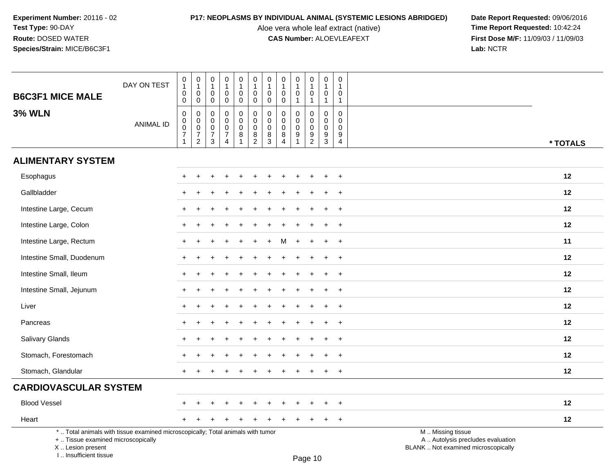I .. Insufficient tissue

Aloe vera whole leaf extract (native)<br>**CAS Number:** ALOEVLEAFEXT

**P17: NEOPLASMS BY INDIVIDUAL ANIMAL (SYSTEMIC LESIONS ABRIDGED)** Date Report Requested: 09/06/2016<br>Aloe vera whole leaf extract (native) **Time Report Requested:** 10:42:24 **First Dose M/F:** 11/09/03 / 11/09/03<br>Lab: NCTR **Lab:** NCTR

| <b>B6C3F1 MICE MALE</b>                                 | DAY ON TEST                                                                     | $\,0\,$<br>$\mathbf{1}$<br>$\pmb{0}$<br>$\mathsf{O}\xspace$         | $\pmb{0}$<br>$\overline{1}$<br>$\mathbf 0$<br>$\mathbf 0$       | 0<br>$\overline{1}$<br>$\mathbf 0$<br>$\mathbf 0$      | $\mathbf 0$<br>$\mathbf{1}$<br>$\mathbf 0$<br>$\mathbf 0$                               | $\mathbf 0$<br>$\mathbf{1}$<br>$\mathbf 0$<br>$\mathbf 0$ | $\mathbf 0$<br>$\mathbf{1}$<br>0<br>$\mathbf 0$                     | $\pmb{0}$<br>$\mathbf{1}$<br>$\mathbf 0$<br>$\pmb{0}$ | $\mathbf 0$<br>$\overline{1}$<br>$\mathbf 0$<br>$\mathbf 0$      | $\mathbf 0$<br>$\overline{1}$<br>$\mathbf 0$<br>$\mathbf 1$ | 0<br>$\mathbf{1}$<br>$\mathbf 0$<br>$\mathbf 1$                     | $\mathbf 0$<br>$\overline{1}$<br>$\mathbf 0$<br>$\overline{1}$              | 0<br>1<br>0<br>$\mathbf{1}$                                      |                                                                                               |
|---------------------------------------------------------|---------------------------------------------------------------------------------|---------------------------------------------------------------------|-----------------------------------------------------------------|--------------------------------------------------------|-----------------------------------------------------------------------------------------|-----------------------------------------------------------|---------------------------------------------------------------------|-------------------------------------------------------|------------------------------------------------------------------|-------------------------------------------------------------|---------------------------------------------------------------------|-----------------------------------------------------------------------------|------------------------------------------------------------------|-----------------------------------------------------------------------------------------------|
| <b>3% WLN</b>                                           | <b>ANIMAL ID</b>                                                                | $\pmb{0}$<br>$_{\rm 0}^{\rm 0}$<br>$\overline{7}$<br>$\overline{1}$ | $\pmb{0}$<br>$\overline{0}$<br>$\overline{7}$<br>$\overline{2}$ | 0<br>$\mathbf 0$<br>$\mathbf 0$<br>$\overline{7}$<br>3 | $\mathbf 0$<br>$\mathbf 0$<br>$\mathbf 0$<br>$\boldsymbol{7}$<br>$\boldsymbol{\Lambda}$ | 0<br>0<br>$\mathbf 0$<br>8                                | $\boldsymbol{0}$<br>$\mathbf 0$<br>$\pmb{0}$<br>8<br>$\overline{2}$ | $\pmb{0}$<br>$\pmb{0}$<br>$\pmb{0}$<br>$\frac{8}{3}$  | $\mathbf 0$<br>$\mathbf 0$<br>$\mathbf 0$<br>8<br>$\overline{4}$ | $\mathbf 0$<br>$\mathbf 0$<br>$\mathbf 0$<br>9              | 0<br>$\pmb{0}$<br>$\mathbf 0$<br>$\boldsymbol{9}$<br>$\overline{2}$ | $\mathbf 0$<br>$\mathbf 0$<br>$\mathbf 0$<br>$\boldsymbol{9}$<br>$\sqrt{3}$ | $\mathbf 0$<br>$\mathbf 0$<br>$\mathbf 0$<br>9<br>$\overline{4}$ | * TOTALS                                                                                      |
| <b>ALIMENTARY SYSTEM</b>                                |                                                                                 |                                                                     |                                                                 |                                                        |                                                                                         |                                                           |                                                                     |                                                       |                                                                  |                                                             |                                                                     |                                                                             |                                                                  |                                                                                               |
| Esophagus                                               |                                                                                 | $+$                                                                 |                                                                 |                                                        |                                                                                         |                                                           |                                                                     |                                                       |                                                                  |                                                             | $\div$                                                              | ÷                                                                           | $+$                                                              | 12                                                                                            |
| Gallbladder                                             |                                                                                 | +                                                                   |                                                                 |                                                        |                                                                                         |                                                           |                                                                     |                                                       |                                                                  |                                                             |                                                                     |                                                                             | $\ddot{}$                                                        | 12                                                                                            |
| Intestine Large, Cecum                                  |                                                                                 |                                                                     |                                                                 |                                                        |                                                                                         |                                                           |                                                                     |                                                       |                                                                  |                                                             |                                                                     |                                                                             | $\ddot{}$                                                        | 12                                                                                            |
| Intestine Large, Colon                                  |                                                                                 |                                                                     |                                                                 |                                                        |                                                                                         |                                                           |                                                                     |                                                       |                                                                  |                                                             |                                                                     |                                                                             | $\ddot{}$                                                        | 12                                                                                            |
| Intestine Large, Rectum                                 |                                                                                 | $+$                                                                 |                                                                 |                                                        |                                                                                         |                                                           |                                                                     |                                                       |                                                                  |                                                             |                                                                     |                                                                             | $\overline{+}$                                                   | 11                                                                                            |
| Intestine Small, Duodenum                               |                                                                                 | $\pm$                                                               |                                                                 |                                                        |                                                                                         |                                                           |                                                                     |                                                       |                                                                  |                                                             | $\div$                                                              | $\ddot{}$                                                                   | $\overline{+}$                                                   | 12                                                                                            |
| Intestine Small, Ileum                                  |                                                                                 |                                                                     |                                                                 |                                                        |                                                                                         |                                                           |                                                                     |                                                       |                                                                  |                                                             |                                                                     |                                                                             | $\ddot{}$                                                        | 12                                                                                            |
| Intestine Small, Jejunum                                |                                                                                 |                                                                     |                                                                 |                                                        |                                                                                         |                                                           |                                                                     |                                                       |                                                                  |                                                             |                                                                     |                                                                             | $\ddot{}$                                                        | 12                                                                                            |
| Liver                                                   |                                                                                 |                                                                     |                                                                 |                                                        |                                                                                         |                                                           |                                                                     |                                                       |                                                                  |                                                             |                                                                     |                                                                             | $\ddot{}$                                                        | 12                                                                                            |
| Pancreas                                                |                                                                                 | $+$                                                                 |                                                                 |                                                        |                                                                                         |                                                           |                                                                     |                                                       |                                                                  |                                                             |                                                                     |                                                                             | $\ddot{}$                                                        | 12                                                                                            |
| Salivary Glands                                         |                                                                                 | +                                                                   |                                                                 |                                                        |                                                                                         |                                                           |                                                                     |                                                       |                                                                  |                                                             |                                                                     | $\ddot{}$                                                                   | $\ddot{}$                                                        | 12                                                                                            |
| Stomach, Forestomach                                    |                                                                                 |                                                                     |                                                                 |                                                        |                                                                                         |                                                           |                                                                     |                                                       |                                                                  |                                                             |                                                                     |                                                                             |                                                                  | 12                                                                                            |
| Stomach, Glandular                                      |                                                                                 | $+$                                                                 |                                                                 |                                                        |                                                                                         |                                                           |                                                                     |                                                       |                                                                  |                                                             |                                                                     | +                                                                           | $\overline{+}$                                                   | 12                                                                                            |
| <b>CARDIOVASCULAR SYSTEM</b>                            |                                                                                 |                                                                     |                                                                 |                                                        |                                                                                         |                                                           |                                                                     |                                                       |                                                                  |                                                             |                                                                     |                                                                             |                                                                  |                                                                                               |
| <b>Blood Vessel</b>                                     |                                                                                 | $+$                                                                 |                                                                 |                                                        |                                                                                         |                                                           |                                                                     |                                                       |                                                                  |                                                             |                                                                     |                                                                             | $\overline{ }$                                                   | 12                                                                                            |
| Heart                                                   |                                                                                 |                                                                     |                                                                 |                                                        |                                                                                         |                                                           |                                                                     |                                                       |                                                                  |                                                             |                                                                     | $\ddot{}$                                                                   | $\overline{+}$                                                   | 12                                                                                            |
| +  Tissue examined microscopically<br>X  Lesion present | *  Total animals with tissue examined microscopically; Total animals with tumor |                                                                     |                                                                 |                                                        |                                                                                         |                                                           |                                                                     |                                                       |                                                                  |                                                             |                                                                     |                                                                             |                                                                  | M  Missing tissue<br>A  Autolysis precludes evaluation<br>BLANK  Not examined microscopically |

Page 10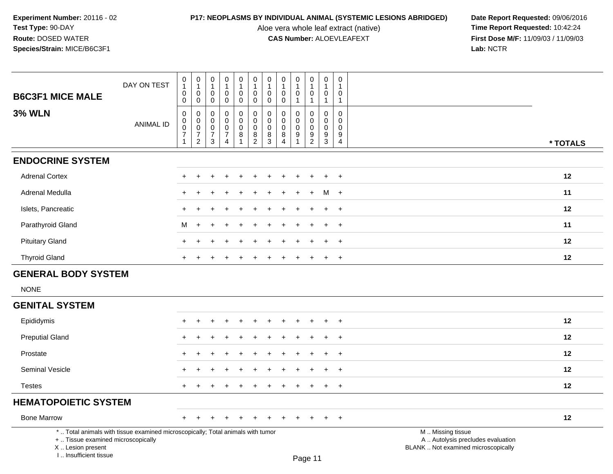Aloe vera whole leaf extract (native)<br>**CAS Number:** ALOEVLEAFEXT

| <b>B6C3F1 MICE MALE</b>                                                                                                                                               | DAY ON TEST      | 0<br>$\mathbf{1}$<br>$\mathbf 0$<br>$\mathbf 0$                    | 0<br>$\mathbf{1}$<br>$\mathbf 0$<br>$\mathbf 0$                                                       | 0<br>$\mathbf{1}$<br>0<br>0                         | 0<br>$\mathbf{1}$<br>0<br>$\mathbf 0$                                           | 0<br>$\mathbf{1}$<br>0<br>$\mathbf 0$ | 0<br>$\mathbf{1}$<br>$\pmb{0}$<br>$\mathbf 0$                  | 0<br>$\mathbf{1}$<br>$\mathbf 0$<br>$\mathbf 0$ | 0<br>$\mathbf{1}$<br>0<br>$\mathbf 0$                      | $\boldsymbol{0}$<br>$\mathbf{1}$<br>0<br>$\mathbf 1$ | 0<br>$\overline{1}$<br>$\mathbf 0$<br>$\mathbf{1}$                    | 0<br>$\mathbf{1}$<br>0<br>$\mathbf{1}$                                               | 0<br>$\mathbf{1}$<br>$\Omega$<br>$\mathbf{1}$                 |                                                                                               |          |
|-----------------------------------------------------------------------------------------------------------------------------------------------------------------------|------------------|--------------------------------------------------------------------|-------------------------------------------------------------------------------------------------------|-----------------------------------------------------|---------------------------------------------------------------------------------|---------------------------------------|----------------------------------------------------------------|-------------------------------------------------|------------------------------------------------------------|------------------------------------------------------|-----------------------------------------------------------------------|--------------------------------------------------------------------------------------|---------------------------------------------------------------|-----------------------------------------------------------------------------------------------|----------|
| <b>3% WLN</b>                                                                                                                                                         | <b>ANIMAL ID</b> | $\pmb{0}$<br>$\overline{0}$<br>0<br>$\overline{7}$<br>$\mathbf{1}$ | $\mathsf{O}\xspace$<br>$\mathsf{O}\xspace$<br>$\mathsf{O}\xspace$<br>$\overline{7}$<br>$\overline{2}$ | $\mathbf 0$<br>$\Omega$<br>0<br>$\overline{7}$<br>3 | $\mathbf 0$<br>$\mathbf 0$<br>$\mathbf 0$<br>$\boldsymbol{7}$<br>$\overline{4}$ | 0<br>$\mathbf 0$<br>0<br>8<br>1       | $\pmb{0}$<br>$\mathbf 0$<br>$\mathbf 0$<br>8<br>$\overline{2}$ | $\mathbf 0$<br>0<br>$\mathbf 0$<br>8<br>3       | $\Omega$<br>$\Omega$<br>$\mathbf 0$<br>8<br>$\overline{4}$ | $\mathbf 0$<br>$\Omega$<br>0<br>$\boldsymbol{9}$     | 0<br>$\mathbf 0$<br>$\mathbf 0$<br>$\boldsymbol{9}$<br>$\overline{2}$ | $\boldsymbol{0}$<br>$\mathbf 0$<br>$\mathbf 0$<br>$\boldsymbol{9}$<br>$\overline{3}$ | $\mathbf 0$<br>$\Omega$<br>$\mathbf 0$<br>9<br>$\overline{4}$ |                                                                                               | * TOTALS |
| <b>ENDOCRINE SYSTEM</b>                                                                                                                                               |                  |                                                                    |                                                                                                       |                                                     |                                                                                 |                                       |                                                                |                                                 |                                                            |                                                      |                                                                       |                                                                                      |                                                               |                                                                                               |          |
| <b>Adrenal Cortex</b>                                                                                                                                                 |                  |                                                                    |                                                                                                       |                                                     |                                                                                 |                                       |                                                                |                                                 |                                                            |                                                      |                                                                       |                                                                                      | $\ddot{}$                                                     |                                                                                               | 12       |
| <b>Adrenal Medulla</b>                                                                                                                                                |                  |                                                                    |                                                                                                       |                                                     |                                                                                 |                                       |                                                                |                                                 |                                                            |                                                      |                                                                       | м                                                                                    | $\overline{+}$                                                |                                                                                               | 11       |
| Islets, Pancreatic                                                                                                                                                    |                  |                                                                    |                                                                                                       |                                                     |                                                                                 |                                       |                                                                |                                                 |                                                            |                                                      |                                                                       |                                                                                      | $\ddot{}$                                                     |                                                                                               | 12       |
| Parathyroid Gland                                                                                                                                                     |                  | M                                                                  | $\pm$                                                                                                 |                                                     |                                                                                 |                                       |                                                                |                                                 |                                                            |                                                      |                                                                       |                                                                                      | $\overline{+}$                                                |                                                                                               | 11       |
| <b>Pituitary Gland</b>                                                                                                                                                |                  |                                                                    |                                                                                                       |                                                     |                                                                                 |                                       |                                                                |                                                 |                                                            |                                                      |                                                                       |                                                                                      | $\overline{+}$                                                |                                                                                               | 12       |
| <b>Thyroid Gland</b>                                                                                                                                                  |                  | $+$                                                                | $\pm$                                                                                                 | +                                                   | ÷                                                                               | $\pm$                                 |                                                                |                                                 |                                                            | $\div$                                               | $\div$                                                                | $+$                                                                                  | $+$                                                           |                                                                                               | 12       |
| <b>GENERAL BODY SYSTEM</b>                                                                                                                                            |                  |                                                                    |                                                                                                       |                                                     |                                                                                 |                                       |                                                                |                                                 |                                                            |                                                      |                                                                       |                                                                                      |                                                               |                                                                                               |          |
| <b>NONE</b>                                                                                                                                                           |                  |                                                                    |                                                                                                       |                                                     |                                                                                 |                                       |                                                                |                                                 |                                                            |                                                      |                                                                       |                                                                                      |                                                               |                                                                                               |          |
| <b>GENITAL SYSTEM</b>                                                                                                                                                 |                  |                                                                    |                                                                                                       |                                                     |                                                                                 |                                       |                                                                |                                                 |                                                            |                                                      |                                                                       |                                                                                      |                                                               |                                                                                               |          |
| Epididymis                                                                                                                                                            |                  |                                                                    |                                                                                                       |                                                     |                                                                                 |                                       |                                                                |                                                 |                                                            |                                                      |                                                                       |                                                                                      | $\overline{+}$                                                |                                                                                               | 12       |
| <b>Preputial Gland</b>                                                                                                                                                |                  |                                                                    |                                                                                                       |                                                     |                                                                                 |                                       |                                                                |                                                 |                                                            |                                                      |                                                                       |                                                                                      | ÷                                                             |                                                                                               | 12       |
| Prostate                                                                                                                                                              |                  |                                                                    |                                                                                                       |                                                     |                                                                                 |                                       |                                                                |                                                 |                                                            |                                                      |                                                                       |                                                                                      | ÷                                                             |                                                                                               | 12       |
| Seminal Vesicle                                                                                                                                                       |                  |                                                                    |                                                                                                       |                                                     |                                                                                 |                                       |                                                                |                                                 |                                                            |                                                      |                                                                       |                                                                                      | $\ddot{}$                                                     |                                                                                               | 12       |
| <b>Testes</b>                                                                                                                                                         |                  | $+$                                                                | $\div$                                                                                                |                                                     |                                                                                 |                                       |                                                                |                                                 |                                                            |                                                      | $\div$                                                                | $+$                                                                                  | $\overline{+}$                                                |                                                                                               | 12       |
| <b>HEMATOPOIETIC SYSTEM</b>                                                                                                                                           |                  |                                                                    |                                                                                                       |                                                     |                                                                                 |                                       |                                                                |                                                 |                                                            |                                                      |                                                                       |                                                                                      |                                                               |                                                                                               |          |
| <b>Bone Marrow</b>                                                                                                                                                    |                  | $+$                                                                |                                                                                                       |                                                     |                                                                                 |                                       |                                                                |                                                 |                                                            |                                                      |                                                                       | $\ddot{}$                                                                            | $+$                                                           |                                                                                               | 12       |
| *  Total animals with tissue examined microscopically; Total animals with tumor<br>+  Tissue examined microscopically<br>X  Lesion present<br>I., Insufficient tissue |                  |                                                                    |                                                                                                       |                                                     |                                                                                 |                                       |                                                                |                                                 |                                                            |                                                      | Page 11                                                               |                                                                                      |                                                               | M  Missing tissue<br>A  Autolysis precludes evaluation<br>BLANK  Not examined microscopically |          |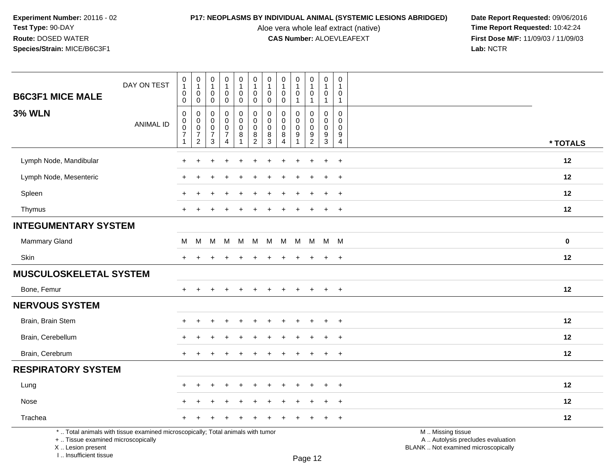Aloe vera whole leaf extract (native)<br>**CAS Number:** ALOEVLEAFEXT

**P17: NEOPLASMS BY INDIVIDUAL ANIMAL (SYSTEMIC LESIONS ABRIDGED)** Date Report Requested: 09/06/2016<br>Aloe vera whole leaf extract (native) **Time Report Requested:** 10:42:24 **First Dose M/F:** 11/09/03 / 11/09/03<br>Lab: NCTR **Lab:** NCTR

|                                    | DAY ON TEST                                                                     | $\begin{smallmatrix}0\\1\end{smallmatrix}$<br>$\mathbf 0$                   | $\pmb{0}$<br>$\overline{1}$<br>$\mathbf 0$                                     | $\,0\,$<br>$\mathbf{1}$<br>$\mathbf 0$                                   | $\pmb{0}$<br>$\mathbf{1}$<br>$\mathbf 0$             | ${\bf 0}$<br>$\mathbf{1}$<br>$\mathbf 0$                                       | $\begin{smallmatrix}0\\1\end{smallmatrix}$<br>$\mathsf 0$     | 0<br>$\overline{1}$<br>$\mathbf 0$        | 0<br>$\mathbf{1}$<br>$\mathbf 0$                              | $\pmb{0}$<br>$\mathbf{1}$<br>$\mathbf 0$ | $\pmb{0}$<br>$\overline{1}$<br>$\mathbf 0$     | $\,0\,$<br>$\mathbf{1}$<br>$\mathbf 0$                                     | $\mathbf 0$<br>$\overline{1}$<br>$\mathbf 0$                  |                                                        |             |
|------------------------------------|---------------------------------------------------------------------------------|-----------------------------------------------------------------------------|--------------------------------------------------------------------------------|--------------------------------------------------------------------------|------------------------------------------------------|--------------------------------------------------------------------------------|---------------------------------------------------------------|-------------------------------------------|---------------------------------------------------------------|------------------------------------------|------------------------------------------------|----------------------------------------------------------------------------|---------------------------------------------------------------|--------------------------------------------------------|-------------|
| <b>B6C3F1 MICE MALE</b>            |                                                                                 | $\mathbf 0$                                                                 | $\mathbf 0$                                                                    | $\mathbf 0$                                                              | $\mathbf 0$                                          | $\mathsf{O}\xspace$                                                            | $\mathbf 0$                                                   | 0                                         | $\mathbf 0$                                                   | $\mathbf{1}$                             | $\overline{1}$                                 | $\mathbf{1}$                                                               | $\mathbf{1}$                                                  |                                                        |             |
| <b>3% WLN</b>                      | <b>ANIMAL ID</b>                                                                | $\mathbf 0$<br>$\mathbf 0$<br>$\mathsf 0$<br>$\overline{7}$<br>$\mathbf{1}$ | $\pmb{0}$<br>$\mathbf 0$<br>$\overline{0}$<br>$\overline{7}$<br>$\overline{2}$ | $\mathbf 0$<br>$\mathbf 0$<br>$\mathsf{O}\xspace$<br>$\overline{7}$<br>3 | 0<br>$\mathbf 0$<br>$\bar{0}$<br>$\overline{7}$<br>4 | $\mathbf 0$<br>$\mathbf 0$<br>$\mathsf{O}\xspace$<br>$\bf 8$<br>$\overline{1}$ | $\mathbf 0$<br>$\mathbf 0$<br>$\overline{0}$<br>$\frac{8}{2}$ | 0<br>$\mathbf 0$<br>$\mathbf 0$<br>8<br>3 | $\mathbf 0$<br>$\Omega$<br>$\mathbf 0$<br>8<br>$\overline{4}$ | 0<br>$\mathbf 0$<br>$\mathbf 0$<br>9     | $\mathbf 0$<br>0<br>$\pmb{0}$<br>$\frac{9}{2}$ | $\mathbf 0$<br>$\mathsf{O}\xspace$<br>$\ddot{\mathbf{0}}$<br>$\frac{9}{3}$ | $\mathbf 0$<br>$\mathbf 0$<br>$\Omega$<br>9<br>$\overline{4}$ |                                                        |             |
|                                    |                                                                                 |                                                                             |                                                                                |                                                                          |                                                      |                                                                                |                                                               |                                           |                                                               |                                          |                                                |                                                                            |                                                               |                                                        | * TOTALS    |
| Lymph Node, Mandibular             |                                                                                 |                                                                             |                                                                                |                                                                          |                                                      |                                                                                |                                                               |                                           |                                                               |                                          |                                                | $\ddot{}$                                                                  | $+$                                                           |                                                        | 12          |
| Lymph Node, Mesenteric             |                                                                                 |                                                                             |                                                                                |                                                                          |                                                      |                                                                                |                                                               |                                           |                                                               |                                          |                                                |                                                                            | $\ddot{}$                                                     |                                                        | 12          |
| Spleen                             |                                                                                 |                                                                             |                                                                                |                                                                          |                                                      |                                                                                |                                                               |                                           |                                                               |                                          |                                                | ÷                                                                          | $\ddot{}$                                                     |                                                        | 12          |
| Thymus                             |                                                                                 | $+$                                                                         |                                                                                |                                                                          |                                                      |                                                                                |                                                               |                                           |                                                               |                                          |                                                | $\pm$                                                                      | $+$                                                           |                                                        | 12          |
| <b>INTEGUMENTARY SYSTEM</b>        |                                                                                 |                                                                             |                                                                                |                                                                          |                                                      |                                                                                |                                                               |                                           |                                                               |                                          |                                                |                                                                            |                                                               |                                                        |             |
| Mammary Gland                      |                                                                                 | м                                                                           | М                                                                              | M                                                                        | М                                                    | M                                                                              | M                                                             | M                                         | M M                                                           |                                          | M                                              | M M                                                                        |                                                               |                                                        | $\mathbf 0$ |
| Skin                               |                                                                                 | ÷                                                                           |                                                                                |                                                                          |                                                      |                                                                                |                                                               |                                           |                                                               |                                          |                                                | $\ddot{}$                                                                  | $\ddot{}$                                                     |                                                        | 12          |
| <b>MUSCULOSKELETAL SYSTEM</b>      |                                                                                 |                                                                             |                                                                                |                                                                          |                                                      |                                                                                |                                                               |                                           |                                                               |                                          |                                                |                                                                            |                                                               |                                                        |             |
| Bone, Femur                        |                                                                                 | $+$                                                                         | $\ddot{}$                                                                      |                                                                          | $\ddot{}$                                            | $\ddot{}$                                                                      | $\ddot{}$                                                     | $\ddot{}$                                 | $\ddot{}$                                                     | $\ddot{}$                                | $\ddot{}$                                      | $+$                                                                        | $\ddot{}$                                                     |                                                        | 12          |
| <b>NERVOUS SYSTEM</b>              |                                                                                 |                                                                             |                                                                                |                                                                          |                                                      |                                                                                |                                                               |                                           |                                                               |                                          |                                                |                                                                            |                                                               |                                                        |             |
| Brain, Brain Stem                  |                                                                                 |                                                                             |                                                                                |                                                                          |                                                      |                                                                                |                                                               |                                           |                                                               |                                          |                                                |                                                                            | $\ddot{}$                                                     |                                                        | 12          |
| Brain, Cerebellum                  |                                                                                 |                                                                             |                                                                                |                                                                          |                                                      |                                                                                |                                                               |                                           |                                                               |                                          |                                                |                                                                            |                                                               |                                                        | 12          |
| Brain, Cerebrum                    |                                                                                 | $\div$                                                                      |                                                                                |                                                                          |                                                      |                                                                                |                                                               |                                           |                                                               |                                          |                                                | $+$                                                                        | $+$                                                           |                                                        | 12          |
| <b>RESPIRATORY SYSTEM</b>          |                                                                                 |                                                                             |                                                                                |                                                                          |                                                      |                                                                                |                                                               |                                           |                                                               |                                          |                                                |                                                                            |                                                               |                                                        |             |
| Lung                               |                                                                                 |                                                                             |                                                                                |                                                                          |                                                      |                                                                                |                                                               |                                           |                                                               |                                          |                                                |                                                                            | $\div$                                                        |                                                        | 12          |
| Nose                               |                                                                                 |                                                                             |                                                                                |                                                                          |                                                      |                                                                                |                                                               |                                           |                                                               |                                          |                                                |                                                                            | $\ddot{}$                                                     |                                                        | 12          |
| Trachea                            |                                                                                 |                                                                             |                                                                                |                                                                          |                                                      |                                                                                |                                                               |                                           |                                                               |                                          |                                                |                                                                            | $\ddot{}$                                                     |                                                        | 12          |
| +  Tissue examined microscopically | *  Total animals with tissue examined microscopically; Total animals with tumor |                                                                             |                                                                                |                                                                          |                                                      |                                                                                |                                                               |                                           |                                                               |                                          |                                                |                                                                            |                                                               | M  Missing tissue<br>A  Autolysis precludes evaluation |             |

 Lesion present BLANK .. Not examined microscopicallyX .. Lesion present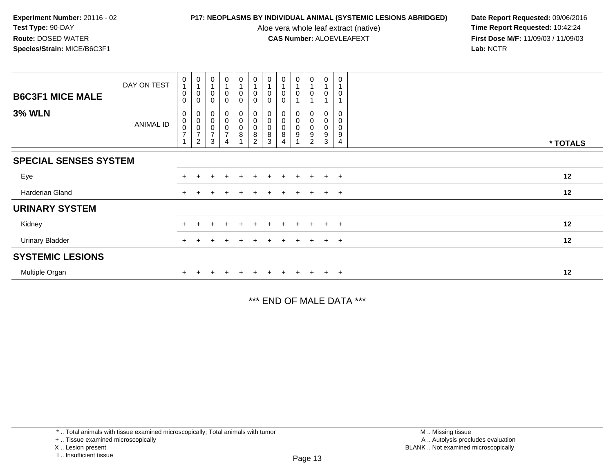Aloe vera whole leaf extract (native)<br>**CAS Number:** ALOEVLEAFEXT

**P17: NEOPLASMS BY INDIVIDUAL ANIMAL (SYSTEMIC LESIONS ABRIDGED)** Date Report Requested: 09/06/2016<br>Aloe vera whole leaf extract (native) **Time Report Requested:** 10:42:24 **First Dose M/F:** 11/09/03 / 11/09/03<br>Lab: NCTR **Lab:** NCTR

| <b>B6C3F1 MICE MALE</b>      | DAY ON TEST | $\mathbf 0$<br>$\overline{A}$<br>$\pmb{0}$<br>$\Omega$ | $\pmb{0}$<br>1<br>$\pmb{0}$<br>$\mathbf 0$ | $\pmb{0}$<br>1<br>$\pmb{0}$<br>0                               | $\mathbf 0$<br>$\overline{A}$<br>$\pmb{0}$<br>0 | 0<br>0<br>0      | $\pmb{0}$<br>$\overline{1}$<br>$\pmb{0}$<br>$\mathbf 0$ | $\pmb{0}$<br>$\mathbf{1}$<br>$\pmb{0}$<br>0     | $\mathbf 0$<br>$\mathbf 1$<br>$\mathbf 0$ | $\mathbf 0$<br>$\overline{1}$<br>$\pmb{0}$      | 0<br>0                        | $\pmb{0}$<br>$\overline{1}$<br>$\boldsymbol{0}$        | $\mathbf 0$<br>$\overline{1}$<br>0 |          |
|------------------------------|-------------|--------------------------------------------------------|--------------------------------------------|----------------------------------------------------------------|-------------------------------------------------|------------------|---------------------------------------------------------|-------------------------------------------------|-------------------------------------------|-------------------------------------------------|-------------------------------|--------------------------------------------------------|------------------------------------|----------|
| <b>3% WLN</b>                | ANIMAL ID   | 0<br>$_{\rm 0}^{\rm 0}$<br>$\overline{7}$              | $\overline{2}$                             | $\pmb{0}$<br>$\mathbf 0$<br>$\pmb{0}$<br>$\boldsymbol{7}$<br>3 |                                                 | 0<br>0<br>$_8^0$ | 000008                                                  | 0<br>$\mathbf 0$<br>$\pmb{0}$<br>$\bar{8}$<br>3 | 0<br>$\pmb{0}$<br>$\pmb{0}$<br>8          | 0<br>$\pmb{0}$<br>$\pmb{0}$<br>$\boldsymbol{9}$ | 0<br>0<br>$_{9}^{\rm 0}$<br>2 | 0<br>$\mathbf 0$<br>$\mathbf 0$<br>$\overline{9}$<br>3 | 0<br>0<br>0<br>9<br>4              | * TOTALS |
| <b>SPECIAL SENSES SYSTEM</b> |             |                                                        |                                            |                                                                |                                                 |                  |                                                         |                                                 |                                           |                                                 |                               |                                                        |                                    |          |
| Eye                          |             |                                                        |                                            |                                                                |                                                 |                  |                                                         |                                                 |                                           |                                                 | $+$                           | $+$                                                    | $+$                                | 12       |
| Harderian Gland              |             | $+$                                                    |                                            |                                                                |                                                 | $\pm$            |                                                         |                                                 |                                           | $+$                                             | $+$                           | $+$                                                    | $+$                                | 12       |
| <b>URINARY SYSTEM</b>        |             |                                                        |                                            |                                                                |                                                 |                  |                                                         |                                                 |                                           |                                                 |                               |                                                        |                                    |          |
| Kidney                       |             |                                                        |                                            |                                                                |                                                 |                  |                                                         |                                                 |                                           |                                                 | $\pm$                         |                                                        | $^{+}$                             | 12       |
| <b>Urinary Bladder</b>       |             |                                                        |                                            |                                                                |                                                 |                  |                                                         |                                                 |                                           |                                                 | ÷.                            | $+$                                                    | $^{+}$                             | 12       |
| <b>SYSTEMIC LESIONS</b>      |             |                                                        |                                            |                                                                |                                                 |                  |                                                         |                                                 |                                           |                                                 |                               |                                                        |                                    |          |
| Multiple Organ               |             |                                                        |                                            |                                                                |                                                 | $\div$           |                                                         |                                                 |                                           | $\pm$                                           | $\pm$                         | $+$                                                    | $^{+}$                             | 12       |

\*\*\* END OF MALE DATA \*\*\*

<sup>\* ..</sup> Total animals with tissue examined microscopically; Total animals with tumor

<sup>+ ..</sup> Tissue examined microscopically

X .. Lesion present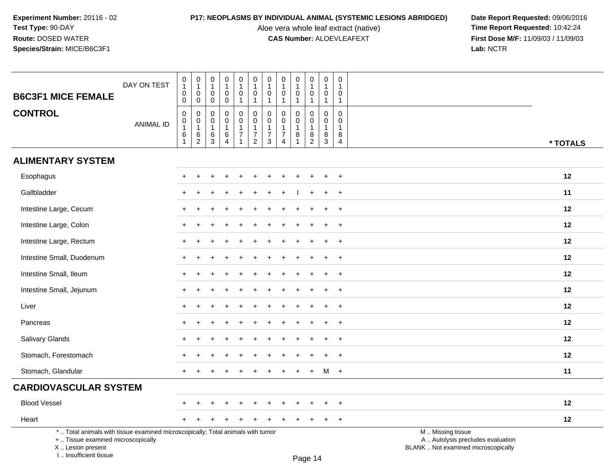Aloe vera whole leaf extract (native)<br>**CAS Number:** ALOEVLEAFEXT

**P17: NEOPLASMS BY INDIVIDUAL ANIMAL (SYSTEMIC LESIONS ABRIDGED)** Date Report Requested: 09/06/2016<br>Aloe vera whole leaf extract (native) **Time Report Requested:** 10:42:24 **First Dose M/F:** 11/09/03 / 11/09/03<br>Lab: NCTR **Lab:** NCTR

| <b>B6C3F1 MICE FEMALE</b>                                                                                                                  | DAY ON TEST      | $\pmb{0}$<br>$\mathbf{1}$<br>$\pmb{0}$                                     | $\pmb{0}$<br>$\mathbf{1}$<br>0                                                 | $\boldsymbol{0}$<br>$\overline{1}$<br>$\mathbf 0$                                       | $\pmb{0}$<br>$\mathbf{1}$<br>$\mathbf 0$                                               | 0<br>$\mathbf{1}$<br>$\mathbf 0$                                 | $\pmb{0}$<br>$\mathbf{1}$<br>$\mathbf 0$                                  | $\mathbf 0$<br>$\mathbf{1}$<br>0                                                    | 0<br>$\mathbf{1}$<br>0                                              | $\pmb{0}$<br>$\mathbf{1}$<br>$\mathbf 0$                           | 0<br>$\mathbf{1}$<br>$\mathbf 0$                                                | $\mathbf 0$<br>$\overline{1}$<br>$\mathbf 0$                                        | 0<br>1<br>0                                               |                                                                                               |
|--------------------------------------------------------------------------------------------------------------------------------------------|------------------|----------------------------------------------------------------------------|--------------------------------------------------------------------------------|-----------------------------------------------------------------------------------------|----------------------------------------------------------------------------------------|------------------------------------------------------------------|---------------------------------------------------------------------------|-------------------------------------------------------------------------------------|---------------------------------------------------------------------|--------------------------------------------------------------------|---------------------------------------------------------------------------------|-------------------------------------------------------------------------------------|-----------------------------------------------------------|-----------------------------------------------------------------------------------------------|
| <b>CONTROL</b>                                                                                                                             | <b>ANIMAL ID</b> | $\mathbf 0$<br>$\pmb{0}$<br>$\overline{0}$<br>1<br>$\,6\,$<br>$\mathbf{1}$ | $\mathbf 0$<br>$\mathsf 0$<br>$\overline{0}$<br>1<br>$\,6\,$<br>$\overline{2}$ | $\mathbf 0$<br>$\mathbf 0$<br>$\boldsymbol{0}$<br>$\overline{1}$<br>6<br>$\overline{3}$ | $\mathbf 0$<br>$\mathbf 0$<br>$\pmb{0}$<br>$\overline{1}$<br>$\,6\,$<br>$\overline{A}$ | $\mathbf{1}$<br>0<br>$\pmb{0}$<br>$\mathbf{1}$<br>$\overline{7}$ | $\mathbf{1}$<br>$\pmb{0}$<br>$\pmb{0}$<br>$\overline{1}$<br>$\frac{7}{2}$ | $\overline{1}$<br>$\mathbf 0$<br>$\mathbf 0$<br>$\mathbf{1}$<br>$\overline{7}$<br>3 | $\mathbf 1$<br>$\Omega$<br>0<br>$\mathbf{1}$<br>$\overline{7}$<br>4 | $\mathbf{1}$<br>$\mathbf 0$<br>$\pmb{0}$<br>$\mathbf{1}$<br>$\bf8$ | $\mathbf{1}$<br>0<br>$\mathbf 0$<br>$\overline{1}$<br>$\bf 8$<br>$\overline{2}$ | $\overline{1}$<br>$\mathbf 0$<br>$\mathbf 0$<br>$\overline{1}$<br>8<br>$\mathbf{3}$ | $\mathbf{1}$<br>$\Omega$<br>0<br>1<br>8<br>$\overline{4}$ | * TOTALS                                                                                      |
| <b>ALIMENTARY SYSTEM</b>                                                                                                                   |                  |                                                                            |                                                                                |                                                                                         |                                                                                        |                                                                  |                                                                           |                                                                                     |                                                                     |                                                                    |                                                                                 |                                                                                     |                                                           |                                                                                               |
| Esophagus                                                                                                                                  |                  | $^+$                                                                       |                                                                                |                                                                                         |                                                                                        |                                                                  |                                                                           |                                                                                     |                                                                     |                                                                    |                                                                                 |                                                                                     | $\ddot{}$                                                 | 12                                                                                            |
| Gallbladder                                                                                                                                |                  |                                                                            |                                                                                |                                                                                         |                                                                                        |                                                                  |                                                                           |                                                                                     |                                                                     |                                                                    |                                                                                 |                                                                                     | $\ddot{}$                                                 | 11                                                                                            |
| Intestine Large, Cecum                                                                                                                     |                  |                                                                            |                                                                                |                                                                                         |                                                                                        |                                                                  |                                                                           |                                                                                     |                                                                     |                                                                    |                                                                                 |                                                                                     | $\ddot{}$                                                 | 12                                                                                            |
| Intestine Large, Colon                                                                                                                     |                  |                                                                            |                                                                                |                                                                                         |                                                                                        |                                                                  |                                                                           |                                                                                     |                                                                     |                                                                    |                                                                                 |                                                                                     | $\ddot{}$                                                 | 12                                                                                            |
| Intestine Large, Rectum                                                                                                                    |                  |                                                                            |                                                                                |                                                                                         |                                                                                        |                                                                  |                                                                           |                                                                                     |                                                                     |                                                                    |                                                                                 |                                                                                     | $\overline{1}$                                            | 12                                                                                            |
| Intestine Small, Duodenum                                                                                                                  |                  | $+$                                                                        |                                                                                |                                                                                         |                                                                                        |                                                                  |                                                                           |                                                                                     |                                                                     |                                                                    |                                                                                 |                                                                                     | $\ddot{}$                                                 | 12                                                                                            |
| Intestine Small, Ileum                                                                                                                     |                  |                                                                            |                                                                                |                                                                                         |                                                                                        |                                                                  |                                                                           |                                                                                     |                                                                     |                                                                    |                                                                                 |                                                                                     | $\ddot{}$                                                 | 12                                                                                            |
| Intestine Small, Jejunum                                                                                                                   |                  |                                                                            |                                                                                |                                                                                         |                                                                                        |                                                                  |                                                                           |                                                                                     |                                                                     |                                                                    |                                                                                 |                                                                                     | $\div$                                                    | 12                                                                                            |
| Liver                                                                                                                                      |                  |                                                                            |                                                                                |                                                                                         |                                                                                        |                                                                  |                                                                           |                                                                                     |                                                                     |                                                                    |                                                                                 |                                                                                     | $\ddot{}$                                                 | 12                                                                                            |
| Pancreas                                                                                                                                   |                  |                                                                            |                                                                                |                                                                                         |                                                                                        |                                                                  |                                                                           |                                                                                     |                                                                     |                                                                    |                                                                                 |                                                                                     | $\ddot{}$                                                 | 12                                                                                            |
| Salivary Glands                                                                                                                            |                  |                                                                            |                                                                                |                                                                                         |                                                                                        |                                                                  |                                                                           |                                                                                     |                                                                     |                                                                    |                                                                                 |                                                                                     | $\ddot{}$                                                 | 12                                                                                            |
| Stomach, Forestomach                                                                                                                       |                  |                                                                            |                                                                                |                                                                                         |                                                                                        |                                                                  |                                                                           |                                                                                     |                                                                     |                                                                    |                                                                                 |                                                                                     | $\ddot{}$                                                 | 12                                                                                            |
| Stomach, Glandular                                                                                                                         |                  |                                                                            |                                                                                |                                                                                         |                                                                                        |                                                                  |                                                                           |                                                                                     |                                                                     |                                                                    | $+$                                                                             | M                                                                                   | $+$                                                       | 11                                                                                            |
| <b>CARDIOVASCULAR SYSTEM</b>                                                                                                               |                  |                                                                            |                                                                                |                                                                                         |                                                                                        |                                                                  |                                                                           |                                                                                     |                                                                     |                                                                    |                                                                                 |                                                                                     |                                                           |                                                                                               |
| <b>Blood Vessel</b>                                                                                                                        |                  |                                                                            |                                                                                |                                                                                         |                                                                                        |                                                                  |                                                                           |                                                                                     |                                                                     |                                                                    |                                                                                 |                                                                                     |                                                           | 12                                                                                            |
| Heart                                                                                                                                      |                  | $\pm$                                                                      |                                                                                |                                                                                         |                                                                                        |                                                                  |                                                                           |                                                                                     |                                                                     |                                                                    |                                                                                 | +                                                                                   | $\ddot{}$                                                 | 12                                                                                            |
| *  Total animals with tissue examined microscopically; Total animals with tumor<br>+  Tissue examined microscopically<br>X  Lesion present |                  |                                                                            |                                                                                |                                                                                         |                                                                                        |                                                                  |                                                                           |                                                                                     |                                                                     |                                                                    |                                                                                 |                                                                                     |                                                           | M  Missing tissue<br>A  Autolysis precludes evaluation<br>BLANK  Not examined microscopically |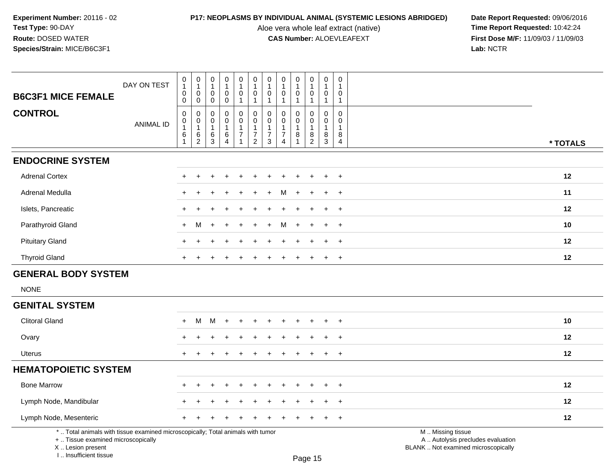**CAS Number:** ALOEVLEAFEXT **First Dose Microsoft CAS Number:** ALOEVLEAFEXT

**P17: NEOPLASMS BY INDIVIDUAL ANIMAL (SYSTEMIC LESIONS ABRIDGED)** Date Report Requested: 09/06/2016<br>Aloe vera whole leaf extract (native) **Time Report Requested:** 10:42:24 Aloe vera whole leaf extract (native) **Time Report Requested:** 10:42:24<br>**CAS Number:** ALOEVLEAFEXT **The Report Requested:** 11/09/03 / 11/09/03 **Lab:** NCTR

|                                                                                                                       | DAY ON TEST      | $\pmb{0}$<br>$\mathbf{1}$<br>$\mathbf 0$             | $\pmb{0}$<br>$\mathbf{1}$<br>$\mathsf{O}\xspace$        | $\pmb{0}$<br>$\mathbf{1}$<br>0                          | $\pmb{0}$<br>$\mathbf{1}$<br>$\mathbf 0$                          | $\pmb{0}$<br>$\mathbf{1}$<br>$\mathbf 0$                           | $\pmb{0}$<br>$\mathbf{1}$<br>$\mathbf 0$                                                      | $\pmb{0}$<br>$\mathbf{1}$<br>0                                               | $\pmb{0}$<br>$\overline{1}$<br>$\pmb{0}$                           | $\pmb{0}$<br>$\mathbf{1}$<br>$\mathbf 0$ | $\pmb{0}$<br>$\mathbf{1}$<br>$\pmb{0}$                              | $\boldsymbol{0}$<br>$\mathbf{1}$<br>$\mathbf 0$                 | 0<br>$\mathbf 1$<br>0                                          |                                                        |
|-----------------------------------------------------------------------------------------------------------------------|------------------|------------------------------------------------------|---------------------------------------------------------|---------------------------------------------------------|-------------------------------------------------------------------|--------------------------------------------------------------------|-----------------------------------------------------------------------------------------------|------------------------------------------------------------------------------|--------------------------------------------------------------------|------------------------------------------|---------------------------------------------------------------------|-----------------------------------------------------------------|----------------------------------------------------------------|--------------------------------------------------------|
| <b>B6C3F1 MICE FEMALE</b>                                                                                             |                  | $\mathbf 0$                                          | $\mathbf 0$                                             | $\mathbf 0$                                             | $\mathbf 0$                                                       | $\mathbf{1}$                                                       | $\mathbf{1}$                                                                                  | $\mathbf{1}$                                                                 | $\mathbf{1}$                                                       | $\overline{1}$                           | $\mathbf{1}$                                                        | $\mathbf{1}$                                                    | $\mathbf{1}$                                                   |                                                        |
| <b>CONTROL</b>                                                                                                        | <b>ANIMAL ID</b> | $\mathbf 0$<br>$\pmb{0}$<br>$\overline{1}$<br>6<br>1 | 0<br>$\pmb{0}$<br>$\mathbf{1}$<br>$\,6\,$<br>$\sqrt{2}$ | $\Omega$<br>$\mathbf 0$<br>$\overline{1}$<br>$\,6$<br>3 | $\mathbf 0$<br>$\mathbf 0$<br>$\mathbf{1}$<br>6<br>$\overline{4}$ | $\mathbf 0$<br>$\mathsf{O}$<br>$\mathbf{1}$<br>$\overline{7}$<br>1 | $\boldsymbol{0}$<br>$\ddot{\mathbf{0}}$<br>$\mathbf{1}$<br>$\boldsymbol{7}$<br>$\overline{a}$ | $\mathbf 0$<br>$\pmb{0}$<br>$\mathbf{1}$<br>$\overline{7}$<br>$\mathfrak{Z}$ | 0<br>$\pmb{0}$<br>$\mathbf{1}$<br>$\overline{7}$<br>$\overline{4}$ | $\Omega$<br>0<br>$\overline{1}$<br>8     | $\mathbf 0$<br>$\mathbf 0$<br>$\mathbf{1}$<br>$\,8\,$<br>$\sqrt{2}$ | $\mathbf 0$<br>$\mathbf 0$<br>$\mathbf{1}$<br>8<br>$\mathbf{3}$ | $\Omega$<br>$\mathbf 0$<br>$\mathbf{1}$<br>8<br>$\overline{4}$ | * TOTALS                                               |
| <b>ENDOCRINE SYSTEM</b>                                                                                               |                  |                                                      |                                                         |                                                         |                                                                   |                                                                    |                                                                                               |                                                                              |                                                                    |                                          |                                                                     |                                                                 |                                                                |                                                        |
| <b>Adrenal Cortex</b>                                                                                                 |                  |                                                      |                                                         |                                                         |                                                                   |                                                                    |                                                                                               |                                                                              |                                                                    |                                          |                                                                     |                                                                 | $\ddot{}$                                                      | 12                                                     |
| Adrenal Medulla                                                                                                       |                  |                                                      |                                                         |                                                         |                                                                   |                                                                    |                                                                                               |                                                                              |                                                                    |                                          |                                                                     |                                                                 | $\ddot{}$                                                      | 11                                                     |
| Islets, Pancreatic                                                                                                    |                  |                                                      |                                                         |                                                         |                                                                   |                                                                    |                                                                                               |                                                                              |                                                                    |                                          |                                                                     |                                                                 | $\ddot{}$                                                      | 12                                                     |
| Parathyroid Gland                                                                                                     |                  | $+$                                                  | M                                                       |                                                         |                                                                   |                                                                    |                                                                                               |                                                                              | м                                                                  |                                          |                                                                     |                                                                 | $\ddot{}$                                                      | 10                                                     |
| <b>Pituitary Gland</b>                                                                                                |                  |                                                      |                                                         |                                                         |                                                                   |                                                                    |                                                                                               |                                                                              |                                                                    |                                          |                                                                     |                                                                 | $\div$                                                         | 12                                                     |
| <b>Thyroid Gland</b>                                                                                                  |                  |                                                      |                                                         |                                                         |                                                                   |                                                                    |                                                                                               |                                                                              |                                                                    |                                          |                                                                     |                                                                 | $\ddot{}$                                                      | 12                                                     |
| <b>GENERAL BODY SYSTEM</b>                                                                                            |                  |                                                      |                                                         |                                                         |                                                                   |                                                                    |                                                                                               |                                                                              |                                                                    |                                          |                                                                     |                                                                 |                                                                |                                                        |
| <b>NONE</b>                                                                                                           |                  |                                                      |                                                         |                                                         |                                                                   |                                                                    |                                                                                               |                                                                              |                                                                    |                                          |                                                                     |                                                                 |                                                                |                                                        |
| <b>GENITAL SYSTEM</b>                                                                                                 |                  |                                                      |                                                         |                                                         |                                                                   |                                                                    |                                                                                               |                                                                              |                                                                    |                                          |                                                                     |                                                                 |                                                                |                                                        |
| <b>Clitoral Gland</b>                                                                                                 |                  |                                                      | м                                                       | M                                                       |                                                                   |                                                                    |                                                                                               |                                                                              |                                                                    |                                          |                                                                     |                                                                 |                                                                | 10                                                     |
| Ovary                                                                                                                 |                  |                                                      |                                                         |                                                         |                                                                   |                                                                    |                                                                                               |                                                                              |                                                                    |                                          |                                                                     |                                                                 |                                                                | 12                                                     |
| <b>Uterus</b>                                                                                                         |                  | $+$                                                  |                                                         |                                                         |                                                                   |                                                                    |                                                                                               |                                                                              |                                                                    |                                          |                                                                     |                                                                 | $\ddot{}$                                                      | 12                                                     |
| <b>HEMATOPOIETIC SYSTEM</b>                                                                                           |                  |                                                      |                                                         |                                                         |                                                                   |                                                                    |                                                                                               |                                                                              |                                                                    |                                          |                                                                     |                                                                 |                                                                |                                                        |
| <b>Bone Marrow</b>                                                                                                    |                  |                                                      |                                                         |                                                         |                                                                   |                                                                    |                                                                                               |                                                                              |                                                                    |                                          |                                                                     |                                                                 | $\div$                                                         | 12                                                     |
| Lymph Node, Mandibular                                                                                                |                  |                                                      |                                                         |                                                         |                                                                   |                                                                    |                                                                                               |                                                                              |                                                                    |                                          |                                                                     |                                                                 | $\ddot{}$                                                      | 12                                                     |
| Lymph Node, Mesenteric                                                                                                |                  |                                                      |                                                         |                                                         |                                                                   |                                                                    |                                                                                               |                                                                              |                                                                    |                                          |                                                                     |                                                                 | $\overline{+}$                                                 | 12                                                     |
| *  Total animals with tissue examined microscopically; Total animals with tumor<br>+  Tissue examined microscopically |                  |                                                      |                                                         |                                                         |                                                                   |                                                                    |                                                                                               |                                                                              |                                                                    |                                          |                                                                     |                                                                 |                                                                | M  Missing tissue<br>A  Autolysis precludes evaluation |

 Lesion present BLANK .. Not examined microscopicallyX .. Lesion present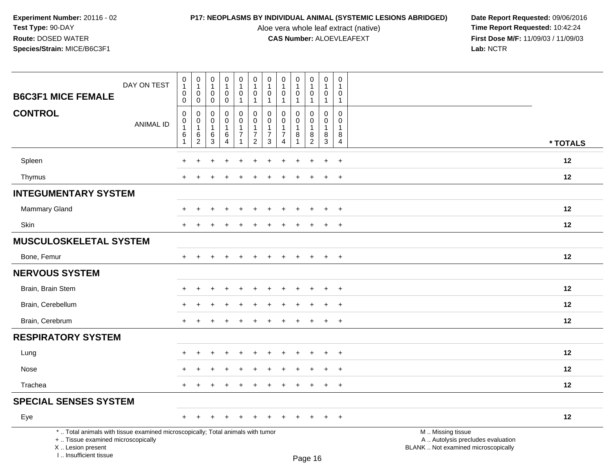Aloe vera whole leaf extract (native)<br>**CAS Number:** ALOEVLEAFEXT

|                                                                                                                                                                     | DAY ON TEST      | $\pmb{0}$<br>$\mathbf{1}$<br>0                        | $\mathbf 0$<br>$\mathbf{1}$<br>$\overline{0}$                     | $\pmb{0}$<br>$\mathbf{1}$<br>$\mathbf 0$             | $\boldsymbol{0}$<br>$\mathbf{1}$<br>$\mathbf 0$                         | $\pmb{0}$<br>$\mathbf{1}$<br>$\mathbf 0$                     | $\pmb{0}$<br>$\mathbf{1}$<br>$\mathbf 0$                                       | 0<br>$\overline{1}$<br>$\mathbf 0$                   | 0<br>$\overline{1}$<br>$\mathbf 0$                                        | 0<br>$\mathbf{1}$<br>$\mathbf 0$      | $\mathsf 0$<br>$\mathbf{1}$<br>0                                         | $\pmb{0}$<br>$\mathbf 1$<br>0                      | $\pmb{0}$<br>$\mathbf{1}$<br>0                                     |                                                                                               |                   |
|---------------------------------------------------------------------------------------------------------------------------------------------------------------------|------------------|-------------------------------------------------------|-------------------------------------------------------------------|------------------------------------------------------|-------------------------------------------------------------------------|--------------------------------------------------------------|--------------------------------------------------------------------------------|------------------------------------------------------|---------------------------------------------------------------------------|---------------------------------------|--------------------------------------------------------------------------|----------------------------------------------------|--------------------------------------------------------------------|-----------------------------------------------------------------------------------------------|-------------------|
| <b>B6C3F1 MICE FEMALE</b>                                                                                                                                           |                  | $\mathbf 0$                                           | $\overline{0}$                                                    | $\mathbf 0$                                          | $\mathbf 0$                                                             | $\mathbf{1}$                                                 | $\overline{1}$                                                                 | -1                                                   | 1                                                                         | 1                                     | $\mathbf{1}$                                                             | $\mathbf{1}$                                       | $\mathbf{1}$                                                       |                                                                                               |                   |
| <b>CONTROL</b>                                                                                                                                                      | <b>ANIMAL ID</b> | $\mathsf 0$<br>$\mathbf 0$<br>$\mathbf{1}$<br>6<br>-1 | $\mathbf 0$<br>$\mathbf 0$<br>$\mathbf{1}$<br>6<br>$\overline{2}$ | $\mathbf 0$<br>$\mathbf 0$<br>$\mathbf{1}$<br>6<br>3 | $\mathbf 0$<br>$\Omega$<br>$\mathbf{1}$<br>6<br>$\overline{\mathbf{4}}$ | $\mathbf 0$<br>$\mathbf 0$<br>$\mathbf{1}$<br>$\overline{7}$ | $\mathbf 0$<br>$\mathbf 0$<br>$\mathbf{1}$<br>$\overline{7}$<br>$\overline{2}$ | 0<br>$\Omega$<br>$\mathbf{1}$<br>$\overline{7}$<br>3 | 0<br>$\Omega$<br>$\mathbf{1}$<br>$\overline{7}$<br>$\boldsymbol{\Lambda}$ | 0<br>$\mathbf{0}$<br>$\mathbf 1$<br>8 | $\mathbf 0$<br>$\mathbf 0$<br>$\overline{1}$<br>$\, 8$<br>$\overline{2}$ | $\pmb{0}$<br>$\mathbf 0$<br>$\mathbf{1}$<br>8<br>3 | $\mathbf 0$<br>$\mathbf{0}$<br>$\mathbf{1}$<br>8<br>$\overline{4}$ |                                                                                               | * TOTALS          |
|                                                                                                                                                                     |                  |                                                       |                                                                   |                                                      |                                                                         |                                                              |                                                                                |                                                      |                                                                           |                                       |                                                                          |                                                    |                                                                    |                                                                                               |                   |
| Spleen                                                                                                                                                              |                  |                                                       |                                                                   |                                                      |                                                                         |                                                              |                                                                                |                                                      |                                                                           |                                       |                                                                          | $\ddot{}$                                          | $\ddot{}$                                                          |                                                                                               | 12                |
| Thymus                                                                                                                                                              |                  |                                                       |                                                                   |                                                      |                                                                         |                                                              |                                                                                |                                                      |                                                                           |                                       | $\div$                                                                   | $+$                                                | $\ddot{}$                                                          |                                                                                               | 12                |
| <b>INTEGUMENTARY SYSTEM</b>                                                                                                                                         |                  |                                                       |                                                                   |                                                      |                                                                         |                                                              |                                                                                |                                                      |                                                                           |                                       |                                                                          |                                                    |                                                                    |                                                                                               |                   |
| Mammary Gland                                                                                                                                                       |                  | ÷                                                     | $\div$                                                            |                                                      | $\ddot{}$                                                               | ÷                                                            |                                                                                |                                                      |                                                                           |                                       | $\ddot{}$                                                                | $\ddot{}$                                          | $\ddot{}$                                                          |                                                                                               | 12                |
| Skin                                                                                                                                                                |                  | $+$                                                   |                                                                   |                                                      |                                                                         |                                                              |                                                                                |                                                      |                                                                           |                                       |                                                                          | $\pm$                                              | $\ddot{}$                                                          |                                                                                               | 12                |
| <b>MUSCULOSKELETAL SYSTEM</b>                                                                                                                                       |                  |                                                       |                                                                   |                                                      |                                                                         |                                                              |                                                                                |                                                      |                                                                           |                                       |                                                                          |                                                    |                                                                    |                                                                                               |                   |
| Bone, Femur                                                                                                                                                         |                  | $\div$                                                | $\div$                                                            |                                                      |                                                                         |                                                              |                                                                                |                                                      |                                                                           |                                       |                                                                          | $+$                                                | $+$                                                                |                                                                                               | 12                |
| <b>NERVOUS SYSTEM</b>                                                                                                                                               |                  |                                                       |                                                                   |                                                      |                                                                         |                                                              |                                                                                |                                                      |                                                                           |                                       |                                                                          |                                                    |                                                                    |                                                                                               |                   |
| Brain, Brain Stem                                                                                                                                                   |                  |                                                       |                                                                   |                                                      |                                                                         |                                                              |                                                                                |                                                      |                                                                           |                                       |                                                                          | $\div$                                             | $\overline{+}$                                                     |                                                                                               | 12                |
| Brain, Cerebellum                                                                                                                                                   |                  |                                                       |                                                                   |                                                      |                                                                         |                                                              |                                                                                |                                                      |                                                                           |                                       |                                                                          |                                                    | $\overline{1}$                                                     |                                                                                               | $12 \overline{ }$ |
| Brain, Cerebrum                                                                                                                                                     |                  |                                                       |                                                                   |                                                      |                                                                         |                                                              |                                                                                |                                                      |                                                                           |                                       |                                                                          |                                                    | $\ddot{}$                                                          |                                                                                               | 12                |
| <b>RESPIRATORY SYSTEM</b>                                                                                                                                           |                  |                                                       |                                                                   |                                                      |                                                                         |                                                              |                                                                                |                                                      |                                                                           |                                       |                                                                          |                                                    |                                                                    |                                                                                               |                   |
| Lung                                                                                                                                                                |                  |                                                       |                                                                   |                                                      |                                                                         |                                                              |                                                                                |                                                      |                                                                           |                                       |                                                                          | $\div$                                             | $\ddot{}$                                                          |                                                                                               | $12 \,$           |
| Nose                                                                                                                                                                |                  |                                                       |                                                                   |                                                      |                                                                         |                                                              |                                                                                |                                                      |                                                                           |                                       |                                                                          |                                                    | $\ddot{}$                                                          |                                                                                               | 12                |
| Trachea                                                                                                                                                             |                  | $+$                                                   | $\ddot{}$                                                         |                                                      | $\ddot{}$                                                               | $\ddot{}$                                                    | $\ddot{}$                                                                      | $\pm$                                                | $\ddot{}$                                                                 | $\ddot{}$                             | $\ddot{}$                                                                | $+$                                                | $+$                                                                |                                                                                               | 12                |
| <b>SPECIAL SENSES SYSTEM</b>                                                                                                                                        |                  |                                                       |                                                                   |                                                      |                                                                         |                                                              |                                                                                |                                                      |                                                                           |                                       |                                                                          |                                                    |                                                                    |                                                                                               |                   |
| Eye                                                                                                                                                                 |                  | $\pm$                                                 | $\div$                                                            |                                                      |                                                                         |                                                              |                                                                                |                                                      |                                                                           |                                       |                                                                          | $\ddot{}$                                          | $+$                                                                |                                                                                               | 12                |
| *  Total animals with tissue examined microscopically; Total animals with tumor<br>+  Tissue examined microscopically<br>X  Lesion present<br>I Insufficient tissue |                  |                                                       |                                                                   |                                                      |                                                                         |                                                              |                                                                                |                                                      |                                                                           |                                       | Dao 16                                                                   |                                                    |                                                                    | M  Missing tissue<br>A  Autolysis precludes evaluation<br>BLANK  Not examined microscopically |                   |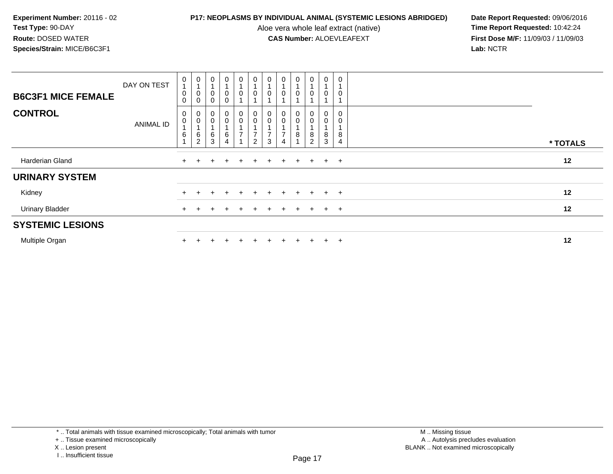Aloe vera whole leaf extract (native)<br>**CAS Number:** ALOEVLEAFEXT

| <b>B6C3F1 MICE FEMALE</b> | DAY ON TEST      | 0<br>$\boldsymbol{0}$<br>$\mathbf 0$ | $\pmb{0}$<br>$\overline{A}$<br>$\pmb{0}$<br>$\mathbf 0$ | 0<br>$\mathbf 0$<br>$\mathbf 0$ | 0<br>0<br>$\mathbf 0$    | $\pmb{0}$<br>0                                                 | $\mathbf 0$<br>$\pmb{0}$                                                        | $\pmb{0}$<br>$\pmb{0}$                                                         | $\pmb{0}$<br>0                                     | $\mathbf 0$<br>0 | $\boldsymbol{0}$<br>$\overline{A}$<br>0 | $\pmb{0}$<br>$\overline{A}$<br>$\pmb{0}$ | 0         |          |
|---------------------------|------------------|--------------------------------------|---------------------------------------------------------|---------------------------------|--------------------------|----------------------------------------------------------------|---------------------------------------------------------------------------------|--------------------------------------------------------------------------------|----------------------------------------------------|------------------|-----------------------------------------|------------------------------------------|-----------|----------|
| <b>CONTROL</b>            | <b>ANIMAL ID</b> | 0<br>0<br>6                          | 0<br>$\pmb{0}$<br>$\overline{A}$<br>6<br>$\overline{c}$ | 6<br>3                          | 0<br>$\pmb{0}$<br>$^6_4$ | $\begin{smallmatrix} 0\\0 \end{smallmatrix}$<br>$\overline{z}$ | $\begin{smallmatrix} 0\\0 \end{smallmatrix}$<br>$\rightarrow$<br>$\overline{2}$ | $\begin{smallmatrix} 0\\0 \end{smallmatrix}$<br>$\overline{ }$<br>$\mathbf{3}$ | 0<br>$\pmb{0}$<br>$\overline{ }$<br>$\overline{4}$ | 0<br>0<br>8      | $\pmb{0}$<br>8<br>$\overline{2}$        | 0<br>$\pmb{0}$<br>8<br>$\mathbf{3}$      | 8<br>4    | * TOTALS |
| Harderian Gland           |                  | $+$                                  | $\pm$                                                   | $+$                             | $\pm$                    | $+$                                                            | $+$                                                                             |                                                                                | $+$ $+$ $+$                                        |                  | $+$                                     | $+$                                      | $+$       | 12       |
| <b>URINARY SYSTEM</b>     |                  |                                      |                                                         |                                 |                          |                                                                |                                                                                 |                                                                                |                                                    |                  |                                         |                                          |           |          |
| Kidney                    |                  |                                      |                                                         |                                 |                          | $+$                                                            | $\pm$                                                                           | $\ddot{}$                                                                      | $+$                                                | $\pm$            | $+$                                     | $+$                                      | $+$       | 12       |
| <b>Urinary Bladder</b>    |                  |                                      |                                                         |                                 |                          |                                                                |                                                                                 |                                                                                | $+$                                                | $\pm$            |                                         | $+$                                      | $+$       | 12       |
| <b>SYSTEMIC LESIONS</b>   |                  |                                      |                                                         |                                 |                          |                                                                |                                                                                 |                                                                                |                                                    |                  |                                         |                                          |           |          |
| Multiple Organ            |                  |                                      |                                                         |                                 |                          |                                                                |                                                                                 |                                                                                |                                                    | $\div$           |                                         | $+$                                      | $\ddot{}$ | 12       |

<sup>\* ..</sup> Total animals with tissue examined microscopically; Total animals with tumor

<sup>+ ..</sup> Tissue examined microscopically

X .. Lesion present

I .. Insufficient tissue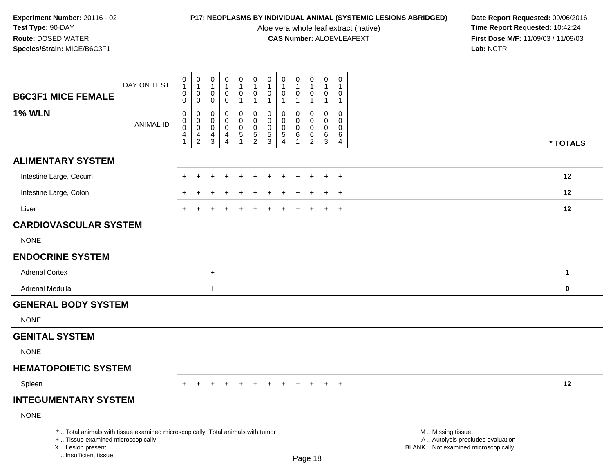Aloe vera whole leaf extract (native)<br>**CAS Number:** ALOEVLEAFEXT

|                                                                                                                                                                     | DAY ON TEST      | 0<br>$\mathbf{1}$<br>$\pmb{0}$                                    | $\pmb{0}$<br>$\mathbf{1}$<br>$\mathbf 0$         | $\pmb{0}$<br>$\mathbf{1}$<br>0                    | $\pmb{0}$<br>$\mathbf{1}$<br>$\mathsf{O}\xspace$ | ${\bf 0}$<br>$\mathbf{1}$<br>$\pmb{0}$        | $\begin{smallmatrix}0\\1\end{smallmatrix}$<br>$\mathbf 0$ | $\pmb{0}$<br>$\mathbf{1}$<br>0 | 0<br>$\mathbf{1}$<br>$\mathbf 0$          | $\mathsf 0$<br>$\mathbf{1}$<br>$\pmb{0}$ | $\pmb{0}$<br>$\mathbf{1}$<br>$\mathbf 0$ | $\pmb{0}$<br>$\mathbf{1}$<br>0                       | 0<br>$\overline{1}$<br>0                    |                                                                                               |              |
|---------------------------------------------------------------------------------------------------------------------------------------------------------------------|------------------|-------------------------------------------------------------------|--------------------------------------------------|---------------------------------------------------|--------------------------------------------------|-----------------------------------------------|-----------------------------------------------------------|--------------------------------|-------------------------------------------|------------------------------------------|------------------------------------------|------------------------------------------------------|---------------------------------------------|-----------------------------------------------------------------------------------------------|--------------|
| <b>B6C3F1 MICE FEMALE</b>                                                                                                                                           |                  | $\mathsf{O}\xspace$                                               | $\mathbf 0$                                      | $\mathbf 0$                                       | $\mathbf 0$                                      | $\mathbf{1}$                                  | $\mathbf{1}$                                              | $\mathbf{1}$                   | $\mathbf{1}$                              | $\mathbf{1}$                             | $\overline{1}$                           | $\mathbf{1}$                                         | $\overline{1}$                              |                                                                                               |              |
| <b>1% WLN</b>                                                                                                                                                       | <b>ANIMAL ID</b> | $\pmb{0}$<br>$\mathbf 0$<br>$\mathsf{O}\xspace$<br>$\overline{4}$ | 0<br>0<br>$\mathbf 0$<br>$\overline{\mathbf{4}}$ | 0<br>$\mathbf 0$<br>$\mathbf 0$<br>$\overline{4}$ | 0<br>$\pmb{0}$<br>$\mathbf 0$<br>$\overline{4}$  | 0<br>$\mathbf 0$<br>$\mathbf 0$<br>$\sqrt{5}$ | $\mathbf 0$<br>$\mathbf 0$<br>$\mathbf 0$                 | 0<br>$\mathbf 0$<br>0<br>5     | $\mathbf 0$<br>$\mathbf 0$<br>$\mathbf 0$ | 0<br>$\Omega$<br>$\mathbf 0$<br>$\,6\,$  | 0<br>$\mathbf 0$<br>$\mathbf 0$          | $\mathbf 0$<br>$\mathbf 0$<br>$\mathbf 0$<br>$\,6\,$ | $\mathbf 0$<br>$\Omega$<br>$\mathbf 0$<br>6 |                                                                                               |              |
|                                                                                                                                                                     |                  | $\mathbf{1}$                                                      | $\overline{2}$                                   | $\mathfrak{S}$                                    | $\overline{4}$                                   | $\overline{1}$                                | $\frac{5}{2}$                                             | 3                              | $\frac{5}{4}$                             | $\overline{1}$                           | $^6_2$                                   | $\mathbf{3}$                                         | $\overline{4}$                              |                                                                                               | * TOTALS     |
| <b>ALIMENTARY SYSTEM</b>                                                                                                                                            |                  |                                                                   |                                                  |                                                   |                                                  |                                               |                                                           |                                |                                           |                                          |                                          |                                                      |                                             |                                                                                               |              |
| Intestine Large, Cecum                                                                                                                                              |                  |                                                                   | $\div$                                           |                                                   |                                                  |                                               |                                                           |                                |                                           | $\ddot{}$                                | $\ddot{}$                                | $\ddot{}$                                            | $+$                                         |                                                                                               | 12           |
| Intestine Large, Colon                                                                                                                                              |                  |                                                                   |                                                  |                                                   |                                                  |                                               |                                                           |                                |                                           |                                          |                                          |                                                      | $+$                                         |                                                                                               | 12           |
| Liver                                                                                                                                                               |                  |                                                                   |                                                  |                                                   |                                                  |                                               |                                                           |                                |                                           |                                          |                                          | $\ddot{}$                                            | $\overline{+}$                              |                                                                                               | 12           |
| <b>CARDIOVASCULAR SYSTEM</b>                                                                                                                                        |                  |                                                                   |                                                  |                                                   |                                                  |                                               |                                                           |                                |                                           |                                          |                                          |                                                      |                                             |                                                                                               |              |
| <b>NONE</b>                                                                                                                                                         |                  |                                                                   |                                                  |                                                   |                                                  |                                               |                                                           |                                |                                           |                                          |                                          |                                                      |                                             |                                                                                               |              |
| <b>ENDOCRINE SYSTEM</b>                                                                                                                                             |                  |                                                                   |                                                  |                                                   |                                                  |                                               |                                                           |                                |                                           |                                          |                                          |                                                      |                                             |                                                                                               |              |
| <b>Adrenal Cortex</b>                                                                                                                                               |                  |                                                                   |                                                  | $+$                                               |                                                  |                                               |                                                           |                                |                                           |                                          |                                          |                                                      |                                             |                                                                                               | $\mathbf{1}$ |
| Adrenal Medulla                                                                                                                                                     |                  |                                                                   |                                                  |                                                   |                                                  |                                               |                                                           |                                |                                           |                                          |                                          |                                                      |                                             |                                                                                               | $\bf{0}$     |
| <b>GENERAL BODY SYSTEM</b>                                                                                                                                          |                  |                                                                   |                                                  |                                                   |                                                  |                                               |                                                           |                                |                                           |                                          |                                          |                                                      |                                             |                                                                                               |              |
| <b>NONE</b>                                                                                                                                                         |                  |                                                                   |                                                  |                                                   |                                                  |                                               |                                                           |                                |                                           |                                          |                                          |                                                      |                                             |                                                                                               |              |
| <b>GENITAL SYSTEM</b>                                                                                                                                               |                  |                                                                   |                                                  |                                                   |                                                  |                                               |                                                           |                                |                                           |                                          |                                          |                                                      |                                             |                                                                                               |              |
| <b>NONE</b>                                                                                                                                                         |                  |                                                                   |                                                  |                                                   |                                                  |                                               |                                                           |                                |                                           |                                          |                                          |                                                      |                                             |                                                                                               |              |
| <b>HEMATOPOIETIC SYSTEM</b>                                                                                                                                         |                  |                                                                   |                                                  |                                                   |                                                  |                                               |                                                           |                                |                                           |                                          |                                          |                                                      |                                             |                                                                                               |              |
| Spleen                                                                                                                                                              |                  | $+$                                                               | $\ddot{}$                                        |                                                   | $\ddot{}$                                        | $\ddot{}$                                     | $\ddot{}$                                                 | $\ddot{}$                      | $\ddot{}$                                 | $\ddot{}$                                | $+$                                      | $+$                                                  | $+$                                         |                                                                                               | 12           |
| <b>INTEGUMENTARY SYSTEM</b>                                                                                                                                         |                  |                                                                   |                                                  |                                                   |                                                  |                                               |                                                           |                                |                                           |                                          |                                          |                                                      |                                             |                                                                                               |              |
| <b>NONE</b>                                                                                                                                                         |                  |                                                                   |                                                  |                                                   |                                                  |                                               |                                                           |                                |                                           |                                          |                                          |                                                      |                                             |                                                                                               |              |
| *  Total animals with tissue examined microscopically; Total animals with tumor<br>+  Tissue examined microscopically<br>X  Lesion present<br>I Insufficient tissue |                  |                                                                   |                                                  |                                                   |                                                  |                                               |                                                           |                                |                                           |                                          | Page 18                                  |                                                      |                                             | M  Missing tissue<br>A  Autolysis precludes evaluation<br>BLANK  Not examined microscopically |              |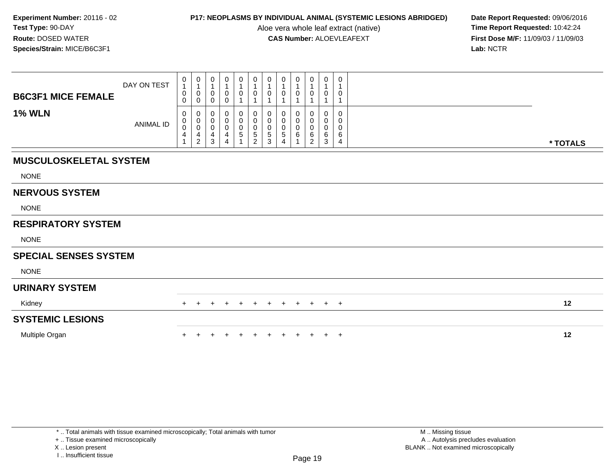Aloe vera whole leaf extract (native)<br>**CAS Number:** ALOEVLEAFEXT

**P17: NEOPLASMS BY INDIVIDUAL ANIMAL (SYSTEMIC LESIONS ABRIDGED)** Date Report Requested: 09/06/2016<br>Aloe vera whole leaf extract (native) **Time Report Requested:** 10:42:24 **First Dose M/F:** 11/09/03 / 11/09/03<br>Lab: NCTR **Lab:** NCTR

| <b>B6C3F1 MICE FEMALE</b>     | DAY ON TEST      | 0<br>$\mathbf{1}$<br>0<br>0 | $\begin{smallmatrix}0\1\end{smallmatrix}$<br>$\boldsymbol{0}$<br>0 | $\boldsymbol{0}$<br>$\mathbf{1}$<br>$\pmb{0}$<br>$\pmb{0}$    | $\mathbf 0$<br>$\overline{1}$<br>0<br>$\mathbf 0$                        | $\begin{smallmatrix}0\\1\end{smallmatrix}$<br>0 | $\begin{smallmatrix}0\\1\end{smallmatrix}$<br>$\pmb{0}$<br>$\mathbf{1}$         | $\begin{smallmatrix}0\\1\end{smallmatrix}$<br>$\mathbf 0$<br>1 | $\pmb{0}$<br>$\mathbf{1}$<br>0                     | 0<br>$\mathbf{1}$<br>0   | 0<br>0                            | 0<br>$\mathbf{1}$<br>$\boldsymbol{0}$           | 0<br>$\mathbf 1$<br>0<br>1      |          |
|-------------------------------|------------------|-----------------------------|--------------------------------------------------------------------|---------------------------------------------------------------|--------------------------------------------------------------------------|-------------------------------------------------|---------------------------------------------------------------------------------|----------------------------------------------------------------|----------------------------------------------------|--------------------------|-----------------------------------|-------------------------------------------------|---------------------------------|----------|
| <b>1% WLN</b>                 | <b>ANIMAL ID</b> | 0<br>0<br>0<br>4            | 0<br>0<br>$\boldsymbol{0}$<br>$\overline{4}$<br>$\overline{2}$     | 0<br>$\pmb{0}$<br>$\pmb{0}$<br>$\overline{4}$<br>$\mathbf{3}$ | 0<br>$\boldsymbol{0}$<br>$\mathbf 0$<br>$\overline{4}$<br>$\overline{4}$ | 0<br>0<br>$\pmb{0}$<br>$\sqrt{5}$               | 0<br>$\pmb{0}$<br>$\begin{smallmatrix}0\0\0\end{smallmatrix}$<br>$\overline{c}$ | 0<br>$\pmb{0}$<br>$\pmb{0}$<br>5<br>3                          | 0<br>$\pmb{0}$<br>$\pmb{0}$<br>5<br>$\overline{4}$ | 0<br>0<br>$\pmb{0}$<br>6 | 0<br>0<br>$\pmb{0}$<br>$\,6$<br>2 | $\mathbf{0}$<br>0<br>$\boldsymbol{0}$<br>6<br>3 | 0<br>0<br>$\mathbf 0$<br>6<br>4 | * TOTALS |
| <b>MUSCULOSKELETAL SYSTEM</b> |                  |                             |                                                                    |                                                               |                                                                          |                                                 |                                                                                 |                                                                |                                                    |                          |                                   |                                                 |                                 |          |
| <b>NONE</b>                   |                  |                             |                                                                    |                                                               |                                                                          |                                                 |                                                                                 |                                                                |                                                    |                          |                                   |                                                 |                                 |          |
| <b>NERVOUS SYSTEM</b>         |                  |                             |                                                                    |                                                               |                                                                          |                                                 |                                                                                 |                                                                |                                                    |                          |                                   |                                                 |                                 |          |
| <b>NONE</b>                   |                  |                             |                                                                    |                                                               |                                                                          |                                                 |                                                                                 |                                                                |                                                    |                          |                                   |                                                 |                                 |          |
| <b>RESPIRATORY SYSTEM</b>     |                  |                             |                                                                    |                                                               |                                                                          |                                                 |                                                                                 |                                                                |                                                    |                          |                                   |                                                 |                                 |          |
| <b>NONE</b>                   |                  |                             |                                                                    |                                                               |                                                                          |                                                 |                                                                                 |                                                                |                                                    |                          |                                   |                                                 |                                 |          |
| <b>SPECIAL SENSES SYSTEM</b>  |                  |                             |                                                                    |                                                               |                                                                          |                                                 |                                                                                 |                                                                |                                                    |                          |                                   |                                                 |                                 |          |
| <b>NONE</b>                   |                  |                             |                                                                    |                                                               |                                                                          |                                                 |                                                                                 |                                                                |                                                    |                          |                                   |                                                 |                                 |          |
| <b>URINARY SYSTEM</b>         |                  |                             |                                                                    |                                                               |                                                                          |                                                 |                                                                                 |                                                                |                                                    |                          |                                   |                                                 |                                 |          |
| Kidney                        |                  | $+$                         | $+$                                                                | $+$                                                           | $\pm$                                                                    | $+$                                             | $+$                                                                             | $+$                                                            | $+$                                                | $+$                      | $+$                               | $+$                                             | $+$                             | 12       |
| <b>SYSTEMIC LESIONS</b>       |                  |                             |                                                                    |                                                               |                                                                          |                                                 |                                                                                 |                                                                |                                                    |                          |                                   |                                                 |                                 |          |
| Multiple Organ                |                  |                             |                                                                    |                                                               |                                                                          |                                                 |                                                                                 |                                                                |                                                    |                          | $+$                               | $+$                                             | $+$                             | 12       |

+ .. Tissue examined microscopically

X .. Lesion present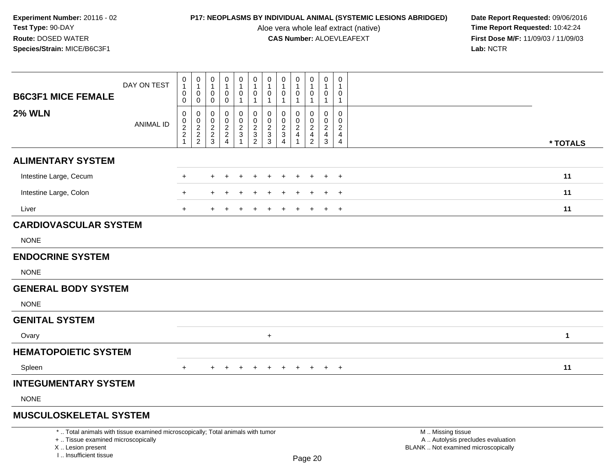Aloe vera whole leaf extract (native)<br>**CAS Number:** ALOEVLEAFEXT

| <b>B6C3F1 MICE FEMALE</b>                                                                                                                                             | DAY ON TEST      | $\pmb{0}$<br>$\mathbf{1}$<br>$\pmb{0}$<br>0                      | $\pmb{0}$<br>$\mathbf{1}$<br>$\mathbf 0$<br>$\mathbf 0$ | $\mathbf 0$<br>$\mathbf{1}$<br>$\mathbf 0$<br>0             | $\pmb{0}$<br>$\mathbf{1}$<br>$\mathbf 0$<br>$\mathbf 0$ | $\mathbf 0$<br>$\mathbf{1}$<br>$\mathbf 0$<br>$\mathbf{1}$    | $\pmb{0}$<br>$\mathbf{1}$<br>$\pmb{0}$<br>$\mathbf{1}$ | $\pmb{0}$<br>$\overline{1}$<br>$\mathbf 0$<br>$\mathbf{1}$ | $\pmb{0}$<br>$\overline{1}$<br>$\mathbf 0$<br>$\mathbf{1}$    | $\pmb{0}$<br>$\mathbf{1}$<br>$\mathbf 0$<br>$\mathbf{1}$                       | $\pmb{0}$<br>$\mathbf{1}$<br>$\mathsf{O}\xspace$<br>$\mathbf{1}$ | $\mathbf 0$<br>$\mathbf{1}$<br>$\mathbf 0$<br>$\mathbf{1}$     | $\mathbf 0$<br>1<br>$\Omega$<br>$\mathbf{1}$                  |                                                                                               |          |
|-----------------------------------------------------------------------------------------------------------------------------------------------------------------------|------------------|------------------------------------------------------------------|---------------------------------------------------------|-------------------------------------------------------------|---------------------------------------------------------|---------------------------------------------------------------|--------------------------------------------------------|------------------------------------------------------------|---------------------------------------------------------------|--------------------------------------------------------------------------------|------------------------------------------------------------------|----------------------------------------------------------------|---------------------------------------------------------------|-----------------------------------------------------------------------------------------------|----------|
| <b>2% WLN</b>                                                                                                                                                         | <b>ANIMAL ID</b> | $\mathbf 0$<br>$\boldsymbol{0}$<br>$\frac{2}{2}$<br>$\mathbf{1}$ | $\mathbf 0$<br>$\mathbf 0$<br>$\frac{2}{2}$             | $\mathbf 0$<br>$\mathbf 0$<br>$\frac{2}{2}$<br>$\mathbf{3}$ | $\mathbf 0$<br>$\mathbf 0$<br>$\frac{2}{2}$             | $\mathbf 0$<br>$\mathbf 0$<br>$\frac{2}{3}$<br>$\overline{1}$ | 0<br>$\mathbf 0$<br>$\frac{2}{3}$<br>$\overline{2}$    | $\mathbf 0$<br>$\pmb{0}$<br>$\frac{2}{3}$                  | $\mathbf 0$<br>$\mathbf 0$<br>$\frac{2}{3}$<br>$\overline{4}$ | $\mathbf 0$<br>$\mathbf 0$<br>$\overline{2}$<br>$\overline{4}$<br>$\mathbf{1}$ | $\mathbf 0$<br>$\mathbf 0$<br>$\frac{2}{4}$<br>$\overline{2}$    | 0<br>$\boldsymbol{0}$<br>$\overline{2}$<br>$\overline{4}$<br>3 | $\Omega$<br>$\Omega$<br>$\overline{a}$<br>4<br>$\overline{4}$ |                                                                                               | * TOTALS |
| <b>ALIMENTARY SYSTEM</b>                                                                                                                                              |                  |                                                                  |                                                         |                                                             |                                                         |                                                               |                                                        |                                                            |                                                               |                                                                                |                                                                  |                                                                |                                                               |                                                                                               |          |
| Intestine Large, Cecum                                                                                                                                                |                  | $\ddot{}$                                                        |                                                         | ÷                                                           |                                                         |                                                               | $\div$                                                 |                                                            |                                                               |                                                                                | $\ddot{}$                                                        | $\div$                                                         | $+$                                                           |                                                                                               | 11       |
| Intestine Large, Colon                                                                                                                                                |                  | $\ddot{}$                                                        |                                                         |                                                             |                                                         |                                                               |                                                        |                                                            |                                                               |                                                                                |                                                                  |                                                                | $\ddot{}$                                                     |                                                                                               | 11       |
| Liver                                                                                                                                                                 |                  | $+$                                                              |                                                         |                                                             |                                                         |                                                               |                                                        |                                                            |                                                               |                                                                                |                                                                  | +                                                              | $+$                                                           |                                                                                               | 11       |
| <b>CARDIOVASCULAR SYSTEM</b>                                                                                                                                          |                  |                                                                  |                                                         |                                                             |                                                         |                                                               |                                                        |                                                            |                                                               |                                                                                |                                                                  |                                                                |                                                               |                                                                                               |          |
| <b>NONE</b>                                                                                                                                                           |                  |                                                                  |                                                         |                                                             |                                                         |                                                               |                                                        |                                                            |                                                               |                                                                                |                                                                  |                                                                |                                                               |                                                                                               |          |
| <b>ENDOCRINE SYSTEM</b>                                                                                                                                               |                  |                                                                  |                                                         |                                                             |                                                         |                                                               |                                                        |                                                            |                                                               |                                                                                |                                                                  |                                                                |                                                               |                                                                                               |          |
| <b>NONE</b>                                                                                                                                                           |                  |                                                                  |                                                         |                                                             |                                                         |                                                               |                                                        |                                                            |                                                               |                                                                                |                                                                  |                                                                |                                                               |                                                                                               |          |
| <b>GENERAL BODY SYSTEM</b>                                                                                                                                            |                  |                                                                  |                                                         |                                                             |                                                         |                                                               |                                                        |                                                            |                                                               |                                                                                |                                                                  |                                                                |                                                               |                                                                                               |          |
| <b>NONE</b>                                                                                                                                                           |                  |                                                                  |                                                         |                                                             |                                                         |                                                               |                                                        |                                                            |                                                               |                                                                                |                                                                  |                                                                |                                                               |                                                                                               |          |
| <b>GENITAL SYSTEM</b>                                                                                                                                                 |                  |                                                                  |                                                         |                                                             |                                                         |                                                               |                                                        |                                                            |                                                               |                                                                                |                                                                  |                                                                |                                                               |                                                                                               |          |
| Ovary                                                                                                                                                                 |                  |                                                                  |                                                         |                                                             |                                                         |                                                               |                                                        | $\ddot{}$                                                  |                                                               |                                                                                |                                                                  |                                                                |                                                               |                                                                                               | 1        |
| <b>HEMATOPOIETIC SYSTEM</b>                                                                                                                                           |                  |                                                                  |                                                         |                                                             |                                                         |                                                               |                                                        |                                                            |                                                               |                                                                                |                                                                  |                                                                |                                                               |                                                                                               |          |
| Spleen                                                                                                                                                                |                  | $+$                                                              |                                                         |                                                             |                                                         |                                                               |                                                        |                                                            |                                                               |                                                                                |                                                                  | $\div$                                                         | $\overline{ }$                                                |                                                                                               | 11       |
| <b>INTEGUMENTARY SYSTEM</b>                                                                                                                                           |                  |                                                                  |                                                         |                                                             |                                                         |                                                               |                                                        |                                                            |                                                               |                                                                                |                                                                  |                                                                |                                                               |                                                                                               |          |
| <b>NONE</b>                                                                                                                                                           |                  |                                                                  |                                                         |                                                             |                                                         |                                                               |                                                        |                                                            |                                                               |                                                                                |                                                                  |                                                                |                                                               |                                                                                               |          |
| <b>MUSCULOSKELETAL SYSTEM</b>                                                                                                                                         |                  |                                                                  |                                                         |                                                             |                                                         |                                                               |                                                        |                                                            |                                                               |                                                                                |                                                                  |                                                                |                                                               |                                                                                               |          |
| *  Total animals with tissue examined microscopically; Total animals with tumor<br>+  Tissue examined microscopically<br>X  Lesion present<br>I., Insufficient tissue |                  |                                                                  |                                                         |                                                             |                                                         |                                                               |                                                        |                                                            |                                                               |                                                                                | Page 20                                                          |                                                                |                                                               | M  Missing tissue<br>A  Autolysis precludes evaluation<br>BLANK  Not examined microscopically |          |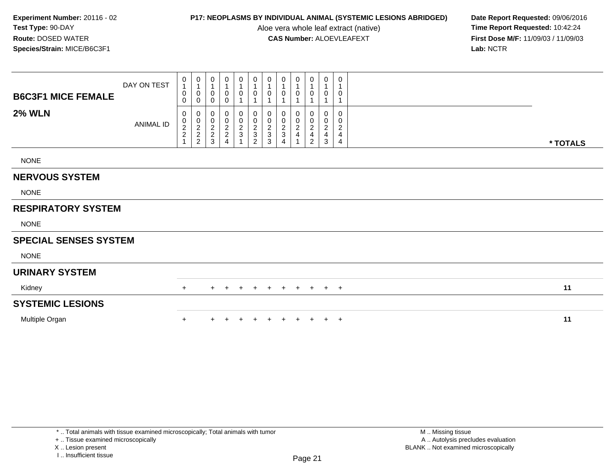Aloe vera whole leaf extract (native)<br>**CAS Number:** ALOEVLEAFEXT

**P17: NEOPLASMS BY INDIVIDUAL ANIMAL (SYSTEMIC LESIONS ABRIDGED)** Date Report Requested: 09/06/2016<br>Aloe vera whole leaf extract (native) **Time Report Requested:** 10:42:24 **First Dose M/F:** 11/09/03 / 11/09/03<br>Lab: NCTR **Lab:** NCTR

| <b>B6C3F1 MICE FEMALE</b>    | DAY ON TEST | $\overline{0}$<br>$\overline{1}$<br>$\pmb{0}$<br>0                   | 0<br>$\mathbf{1}$<br>0<br>0                                  | 0<br>1<br>0<br>0                                          | $\mathbf 0$<br>1<br>0<br>$\pmb{0}$                                     | 0<br>$\mathbf{1}$<br>$\mathsf{O}\xspace$<br>$\mathbf{1}$ | 0<br>0                               | 0<br>$\mathbf{1}$<br>0<br>$\mathbf 1$      | 0<br>0                                        | 0<br>0                                    | 0<br>0                                                                | 0<br>$\mathbf 1$<br>0                                               | 0<br>0                                                       |          |  |
|------------------------------|-------------|----------------------------------------------------------------------|--------------------------------------------------------------|-----------------------------------------------------------|------------------------------------------------------------------------|----------------------------------------------------------|--------------------------------------|--------------------------------------------|-----------------------------------------------|-------------------------------------------|-----------------------------------------------------------------------|---------------------------------------------------------------------|--------------------------------------------------------------|----------|--|
| <b>2% WLN</b>                | ANIMAL ID   | 0<br>$\begin{smallmatrix} 0\\2\\2 \end{smallmatrix}$<br>$\mathbf{1}$ | 0<br>$\begin{matrix} 0 \\ 2 \\ 2 \end{matrix}$<br>$\sqrt{2}$ | 0<br>$\mathbf 0$<br>$\overline{c}$<br>$\overline{2}$<br>3 | 0<br>$\begin{smallmatrix} 0\\2\\2 \end{smallmatrix}$<br>$\overline{4}$ | 0<br>$\frac{0}{2}$<br>$\overline{1}$                     | 0<br>$\frac{0}{2}$<br>$\overline{2}$ | $\pmb{0}$<br>$\frac{0}{2}$<br>$\mathbf{3}$ | 0<br>0<br>$\boldsymbol{2}$<br>$\sqrt{3}$<br>4 | $\boldsymbol{0}$<br>$\boldsymbol{2}$<br>4 | 0<br>0<br>$\overline{c}$<br>$\overline{\mathbf{4}}$<br>$\overline{2}$ | 0<br>0<br>$\overline{c}$<br>$\overline{\mathbf{4}}$<br>$\mathbf{3}$ | 0<br>0<br>$\overline{c}$<br>$\overline{4}$<br>$\overline{4}$ | * TOTALS |  |
| <b>NONE</b>                  |             |                                                                      |                                                              |                                                           |                                                                        |                                                          |                                      |                                            |                                               |                                           |                                                                       |                                                                     |                                                              |          |  |
| <b>NERVOUS SYSTEM</b>        |             |                                                                      |                                                              |                                                           |                                                                        |                                                          |                                      |                                            |                                               |                                           |                                                                       |                                                                     |                                                              |          |  |
| <b>NONE</b>                  |             |                                                                      |                                                              |                                                           |                                                                        |                                                          |                                      |                                            |                                               |                                           |                                                                       |                                                                     |                                                              |          |  |
| <b>RESPIRATORY SYSTEM</b>    |             |                                                                      |                                                              |                                                           |                                                                        |                                                          |                                      |                                            |                                               |                                           |                                                                       |                                                                     |                                                              |          |  |
| <b>NONE</b>                  |             |                                                                      |                                                              |                                                           |                                                                        |                                                          |                                      |                                            |                                               |                                           |                                                                       |                                                                     |                                                              |          |  |
| <b>SPECIAL SENSES SYSTEM</b> |             |                                                                      |                                                              |                                                           |                                                                        |                                                          |                                      |                                            |                                               |                                           |                                                                       |                                                                     |                                                              |          |  |
| <b>NONE</b>                  |             |                                                                      |                                                              |                                                           |                                                                        |                                                          |                                      |                                            |                                               |                                           |                                                                       |                                                                     |                                                              |          |  |
| <b>URINARY SYSTEM</b>        |             |                                                                      |                                                              |                                                           |                                                                        |                                                          |                                      |                                            |                                               |                                           |                                                                       |                                                                     |                                                              |          |  |
| Kidney                       |             | $+$                                                                  |                                                              | $+$                                                       | $\pm$                                                                  | $^{+}$                                                   | $+$                                  | $+$                                        | $+$                                           | $+$                                       | $+$                                                                   | $+$                                                                 | $+$                                                          | 11       |  |
| <b>SYSTEMIC LESIONS</b>      |             |                                                                      |                                                              |                                                           |                                                                        |                                                          |                                      |                                            |                                               |                                           |                                                                       |                                                                     |                                                              |          |  |
| Multiple Organ               |             | $\ddot{}$                                                            |                                                              | ÷                                                         |                                                                        |                                                          |                                      |                                            |                                               | $+$                                       | $+$                                                                   | $+$                                                                 | $+$                                                          | 11       |  |

+ .. Tissue examined microscopically

X .. Lesion present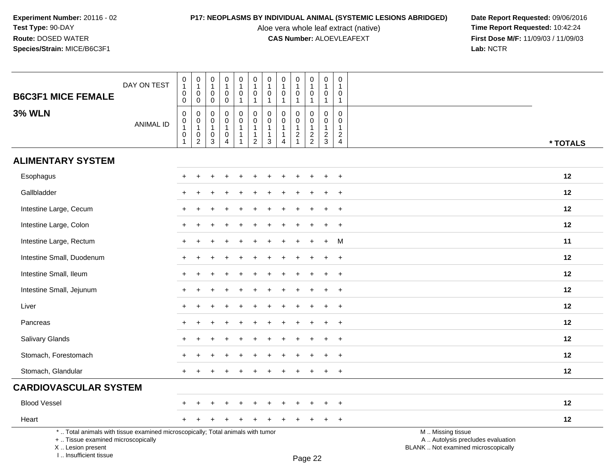I .. Insufficient tissue

Aloe vera whole leaf extract (native)<br>**CAS Number:** ALOEVLEAFEXT

**P17: NEOPLASMS BY INDIVIDUAL ANIMAL (SYSTEMIC LESIONS ABRIDGED)** Date Report Requested: 09/06/2016<br>Aloe vera whole leaf extract (native) **Time Report Requested:** 10:42:24 **First Dose M/F:** 11/09/03 / 11/09/03<br>Lab: NCTR **Lab:** NCTR

| <b>B6C3F1 MICE FEMALE</b>                                                                                                                  | DAY ON TEST      | $\,0\,$<br>$\mathbf{1}$<br>$\pmb{0}$<br>$\mathbf 0$                 | $\pmb{0}$<br>$\overline{1}$<br>$\mathbf 0$<br>$\mathbf 0$                                       | 0<br>$\overline{1}$<br>$\mathbf 0$<br>$\mathbf 0$ | $\mathbf 0$<br>$\mathbf{1}$<br>$\mathbf 0$<br>$\mathbf 0$                        | $\mathbf 0$<br>$\mathbf{1}$<br>$\mathbf 0$<br>$\mathbf{1}$ | $\mathbf 0$<br>$\mathbf{1}$<br>0<br>$\mathbf{1}$                   | $\pmb{0}$<br>$\mathbf{1}$<br>0<br>$\mathbf{1}$                         | $\mathbf 0$<br>$\overline{1}$<br>$\mathbf 0$<br>$\mathbf{1}$ | $\mathbf 0$<br>$\overline{1}$<br>$\mathbf 0$<br>$\mathbf 1$              | 0<br>$\mathbf{1}$<br>0<br>$\mathbf{1}$                      | $\mathbf 0$<br>$\overline{1}$<br>$\mathbf 0$<br>$\overline{1}$   | 0<br>1<br>0<br>$\mathbf{1}$                                          |                                                                                               |
|--------------------------------------------------------------------------------------------------------------------------------------------|------------------|---------------------------------------------------------------------|-------------------------------------------------------------------------------------------------|---------------------------------------------------|----------------------------------------------------------------------------------|------------------------------------------------------------|--------------------------------------------------------------------|------------------------------------------------------------------------|--------------------------------------------------------------|--------------------------------------------------------------------------|-------------------------------------------------------------|------------------------------------------------------------------|----------------------------------------------------------------------|-----------------------------------------------------------------------------------------------|
| <b>3% WLN</b>                                                                                                                              | <b>ANIMAL ID</b> | $\pmb{0}$<br>$\pmb{0}$<br>$\mathbf{1}$<br>$\pmb{0}$<br>$\mathbf{1}$ | $\boldsymbol{0}$<br>$\begin{smallmatrix}0\\1\end{smallmatrix}$<br>$\mathbf 0$<br>$\overline{2}$ | 0<br>0<br>$\overline{1}$<br>0<br>3                | $\Omega$<br>$\mathbf 0$<br>$\mathbf{1}$<br>$\mathbf 0$<br>$\boldsymbol{\Lambda}$ | 0<br>$\mathbf 0$<br>$\mathbf{1}$                           | 0<br>$\pmb{0}$<br>$\mathbf{1}$<br>$\mathbf{1}$<br>$\boldsymbol{2}$ | $\pmb{0}$<br>$\pmb{0}$<br>$\mathbf{1}$<br>$\mathbf{1}$<br>$\mathbf{3}$ | $\mathbf{0}$<br>$\mathbf 0$<br>$\overline{4}$                | $\mathbf 0$<br>$\boldsymbol{0}$<br>$\overline{1}$<br>$\overline{c}$<br>1 | $\mathbf 0$<br>$\mathbf 0$<br>$\mathbf{1}$<br>$\frac{2}{2}$ | $\mathbf 0$<br>$\boldsymbol{0}$<br>$\mathbf{1}$<br>$\frac{2}{3}$ | $\mathbf 0$<br>0<br>$\mathbf{1}$<br>$\overline{2}$<br>$\overline{4}$ | * TOTALS                                                                                      |
| <b>ALIMENTARY SYSTEM</b>                                                                                                                   |                  |                                                                     |                                                                                                 |                                                   |                                                                                  |                                                            |                                                                    |                                                                        |                                                              |                                                                          |                                                             |                                                                  |                                                                      |                                                                                               |
| Esophagus                                                                                                                                  |                  | $+$                                                                 |                                                                                                 |                                                   |                                                                                  |                                                            |                                                                    |                                                                        |                                                              |                                                                          | $\div$                                                      | ÷                                                                | $+$                                                                  | 12                                                                                            |
| Gallbladder                                                                                                                                |                  | +                                                                   |                                                                                                 |                                                   |                                                                                  |                                                            |                                                                    |                                                                        |                                                              |                                                                          |                                                             |                                                                  | $\ddot{}$                                                            | 12                                                                                            |
| Intestine Large, Cecum                                                                                                                     |                  |                                                                     |                                                                                                 |                                                   |                                                                                  |                                                            |                                                                    |                                                                        |                                                              |                                                                          |                                                             |                                                                  | $\ddot{}$                                                            | 12                                                                                            |
| Intestine Large, Colon                                                                                                                     |                  |                                                                     |                                                                                                 |                                                   |                                                                                  |                                                            |                                                                    |                                                                        |                                                              |                                                                          |                                                             |                                                                  | $\ddot{}$                                                            | 12                                                                                            |
| Intestine Large, Rectum                                                                                                                    |                  | $+$                                                                 |                                                                                                 |                                                   |                                                                                  |                                                            |                                                                    |                                                                        |                                                              |                                                                          |                                                             | $+$                                                              | M                                                                    | 11                                                                                            |
| Intestine Small, Duodenum                                                                                                                  |                  | $\pm$                                                               |                                                                                                 |                                                   |                                                                                  |                                                            |                                                                    |                                                                        |                                                              |                                                                          | $\div$                                                      | $\ddot{}$                                                        | $\overline{+}$                                                       | 12                                                                                            |
| Intestine Small, Ileum                                                                                                                     |                  |                                                                     |                                                                                                 |                                                   |                                                                                  |                                                            |                                                                    |                                                                        |                                                              |                                                                          |                                                             |                                                                  | $\ddot{}$                                                            | 12                                                                                            |
| Intestine Small, Jejunum                                                                                                                   |                  |                                                                     |                                                                                                 |                                                   |                                                                                  |                                                            |                                                                    |                                                                        |                                                              |                                                                          |                                                             |                                                                  | $\ddot{}$                                                            | 12                                                                                            |
| Liver                                                                                                                                      |                  |                                                                     |                                                                                                 |                                                   |                                                                                  |                                                            |                                                                    |                                                                        |                                                              |                                                                          |                                                             |                                                                  | $\ddot{}$                                                            | 12                                                                                            |
| Pancreas                                                                                                                                   |                  | $+$                                                                 |                                                                                                 |                                                   |                                                                                  |                                                            |                                                                    |                                                                        |                                                              |                                                                          |                                                             |                                                                  | $\ddot{}$                                                            | 12                                                                                            |
| Salivary Glands                                                                                                                            |                  | +                                                                   |                                                                                                 |                                                   |                                                                                  |                                                            |                                                                    |                                                                        |                                                              |                                                                          |                                                             | $\ddot{}$                                                        | $\ddot{}$                                                            | 12                                                                                            |
| Stomach, Forestomach                                                                                                                       |                  |                                                                     |                                                                                                 |                                                   |                                                                                  |                                                            |                                                                    |                                                                        |                                                              |                                                                          |                                                             |                                                                  |                                                                      | 12                                                                                            |
| Stomach, Glandular                                                                                                                         |                  | $+$                                                                 |                                                                                                 |                                                   |                                                                                  |                                                            |                                                                    |                                                                        |                                                              |                                                                          |                                                             | +                                                                | $\overline{+}$                                                       | 12                                                                                            |
| <b>CARDIOVASCULAR SYSTEM</b>                                                                                                               |                  |                                                                     |                                                                                                 |                                                   |                                                                                  |                                                            |                                                                    |                                                                        |                                                              |                                                                          |                                                             |                                                                  |                                                                      |                                                                                               |
| <b>Blood Vessel</b>                                                                                                                        |                  | $+$                                                                 |                                                                                                 |                                                   |                                                                                  |                                                            |                                                                    |                                                                        |                                                              |                                                                          |                                                             |                                                                  | $\overline{ }$                                                       | 12                                                                                            |
| Heart                                                                                                                                      |                  |                                                                     |                                                                                                 |                                                   |                                                                                  |                                                            |                                                                    |                                                                        |                                                              |                                                                          |                                                             | $\ddot{}$                                                        | $\overline{+}$                                                       | 12                                                                                            |
| *  Total animals with tissue examined microscopically; Total animals with tumor<br>+  Tissue examined microscopically<br>X  Lesion present |                  |                                                                     |                                                                                                 |                                                   |                                                                                  |                                                            |                                                                    |                                                                        |                                                              |                                                                          |                                                             |                                                                  |                                                                      | M  Missing tissue<br>A  Autolysis precludes evaluation<br>BLANK  Not examined microscopically |

Page 22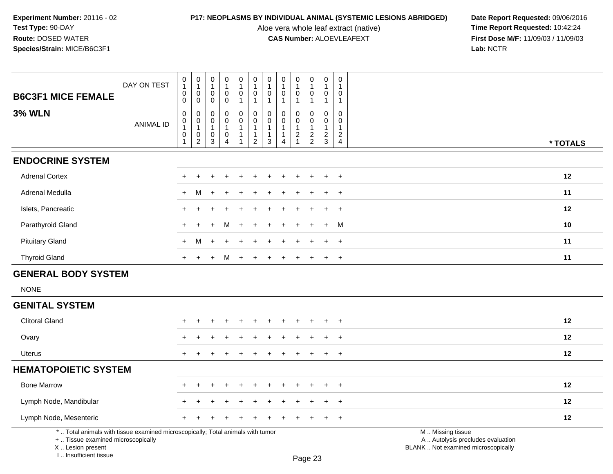Aloe vera whole leaf extract (native)<br>**CAS Number:** ALOEVLEAFEXT

**P17: NEOPLASMS BY INDIVIDUAL ANIMAL (SYSTEMIC LESIONS ABRIDGED)** Date Report Requested: 09/06/2016<br>Aloe vera whole leaf extract (native) **Time Report Requested:** 10:42:24 **First Dose M/F:** 11/09/03 / 11/09/03<br>Lab: NCTR **Lab:** NCTR

| <b>B6C3F1 MICE FEMALE</b>                                                                                                                 | DAY ON TEST      | 0<br>$\mathbf{1}$<br>0<br>0               | $\mathbf 0$<br>$\mathbf{1}$<br>$\mathbf 0$<br>$\mathbf 0$                     | 0<br>1<br>0<br>0                                            | 0<br>$\mathbf{1}$<br>$\mathbf 0$<br>$\mathbf 0$                       | $\mathbf 0$<br>$\mathbf{1}$<br>$\mathsf{O}$     | $\pmb{0}$<br>$\mathbf{1}$<br>$\pmb{0}$<br>$\mathbf{1}$                       | $\mathbf 0$<br>$\overline{1}$<br>$\mathbf 0$<br>$\mathbf{1}$                   | 0<br>$\overline{1}$<br>$\mathbf{0}$<br>-1                      | $\pmb{0}$<br>$\mathbf{1}$<br>$\mathbf 0$<br>$\mathbf{1}$                    | $\mathbf 0$<br>$\mathbf{1}$<br>$\mathsf{O}\xspace$                        | 0<br>$\mathbf{1}$<br>$\mathsf{O}\xspace$<br>$\mathbf{1}$                     | 0<br>$\mathbf 1$<br>0<br>$\mathbf{1}$                                          |                                                                                               |
|-------------------------------------------------------------------------------------------------------------------------------------------|------------------|-------------------------------------------|-------------------------------------------------------------------------------|-------------------------------------------------------------|-----------------------------------------------------------------------|-------------------------------------------------|------------------------------------------------------------------------------|--------------------------------------------------------------------------------|----------------------------------------------------------------|-----------------------------------------------------------------------------|---------------------------------------------------------------------------|------------------------------------------------------------------------------|--------------------------------------------------------------------------------|-----------------------------------------------------------------------------------------------|
| <b>3% WLN</b>                                                                                                                             | <b>ANIMAL ID</b> | 0<br>$\pmb{0}$<br>$\mathbf{1}$<br>0<br>-1 | $\mathbf 0$<br>$\mathbf 0$<br>$\overline{1}$<br>$\mathbf 0$<br>$\overline{2}$ | $\Omega$<br>$\mathbf 0$<br>$\mathbf{1}$<br>$\mathbf 0$<br>3 | $\Omega$<br>$\Omega$<br>$\mathbf{1}$<br>$\mathbf 0$<br>$\overline{4}$ | 1<br>$\mathbf 0$<br>0<br>$\mathbf{1}$<br>1<br>1 | $\mathbf 0$<br>$\mathbf 0$<br>$\mathbf{1}$<br>$\mathbf{1}$<br>$\overline{2}$ | $\mathbf 0$<br>$\mathbf 0$<br>$\overline{1}$<br>$\overline{1}$<br>$\mathbf{3}$ | $\mathbf 0$<br>$\Omega$<br>$\overline{1}$<br>$\mathbf{1}$<br>4 | $\Omega$<br>$\mathbf 0$<br>$\mathbf{1}$<br>$\overline{2}$<br>$\overline{1}$ | 1<br>0<br>$\mathbf 0$<br>$\mathbf{1}$<br>$\overline{c}$<br>$\overline{2}$ | $\mathbf 0$<br>$\mathbf 0$<br>$\mathbf{1}$<br>$\overline{2}$<br>$\mathbf{3}$ | $\mathbf 0$<br>$\mathbf 0$<br>$\mathbf{1}$<br>$\overline{2}$<br>$\overline{4}$ | * TOTALS                                                                                      |
| <b>ENDOCRINE SYSTEM</b>                                                                                                                   |                  |                                           |                                                                               |                                                             |                                                                       |                                                 |                                                                              |                                                                                |                                                                |                                                                             |                                                                           |                                                                              |                                                                                |                                                                                               |
| <b>Adrenal Cortex</b>                                                                                                                     |                  |                                           |                                                                               |                                                             |                                                                       |                                                 |                                                                              |                                                                                |                                                                |                                                                             |                                                                           |                                                                              | $\ddot{}$                                                                      | 12                                                                                            |
| Adrenal Medulla                                                                                                                           |                  | $+$                                       | М                                                                             | $\ddot{}$                                                   |                                                                       |                                                 |                                                                              |                                                                                |                                                                |                                                                             |                                                                           |                                                                              | $\ddot{}$                                                                      | 11                                                                                            |
| Islets, Pancreatic                                                                                                                        |                  | +                                         |                                                                               |                                                             |                                                                       |                                                 |                                                                              |                                                                                |                                                                |                                                                             |                                                                           |                                                                              | $\ddot{}$                                                                      | 12                                                                                            |
| Parathyroid Gland                                                                                                                         |                  |                                           |                                                                               |                                                             |                                                                       |                                                 |                                                                              |                                                                                |                                                                |                                                                             |                                                                           |                                                                              | M                                                                              | 10                                                                                            |
| <b>Pituitary Gland</b>                                                                                                                    |                  | $+$                                       | M                                                                             | $\div$                                                      |                                                                       |                                                 |                                                                              |                                                                                |                                                                |                                                                             |                                                                           |                                                                              | $\overline{1}$                                                                 | 11                                                                                            |
| <b>Thyroid Gland</b>                                                                                                                      |                  | $+$                                       | $\ddot{}$                                                                     | $\ddot{}$                                                   | M                                                                     | $+$                                             | $\ddot{}$                                                                    | $\div$                                                                         | ÷                                                              |                                                                             | $\ddot{}$                                                                 | $\ddot{}$                                                                    | $+$                                                                            | 11                                                                                            |
| <b>GENERAL BODY SYSTEM</b>                                                                                                                |                  |                                           |                                                                               |                                                             |                                                                       |                                                 |                                                                              |                                                                                |                                                                |                                                                             |                                                                           |                                                                              |                                                                                |                                                                                               |
| <b>NONE</b>                                                                                                                               |                  |                                           |                                                                               |                                                             |                                                                       |                                                 |                                                                              |                                                                                |                                                                |                                                                             |                                                                           |                                                                              |                                                                                |                                                                                               |
| <b>GENITAL SYSTEM</b>                                                                                                                     |                  |                                           |                                                                               |                                                             |                                                                       |                                                 |                                                                              |                                                                                |                                                                |                                                                             |                                                                           |                                                                              |                                                                                |                                                                                               |
| <b>Clitoral Gland</b>                                                                                                                     |                  |                                           |                                                                               |                                                             |                                                                       |                                                 |                                                                              |                                                                                |                                                                |                                                                             |                                                                           |                                                                              | $\overline{1}$                                                                 | 12                                                                                            |
| Ovary                                                                                                                                     |                  |                                           |                                                                               |                                                             |                                                                       |                                                 |                                                                              |                                                                                |                                                                |                                                                             |                                                                           |                                                                              | $\pm$                                                                          | 12                                                                                            |
| <b>Uterus</b>                                                                                                                             |                  | $+$                                       |                                                                               |                                                             |                                                                       |                                                 |                                                                              |                                                                                |                                                                |                                                                             |                                                                           | $\div$                                                                       | $\overline{+}$                                                                 | 12                                                                                            |
| <b>HEMATOPOIETIC SYSTEM</b>                                                                                                               |                  |                                           |                                                                               |                                                             |                                                                       |                                                 |                                                                              |                                                                                |                                                                |                                                                             |                                                                           |                                                                              |                                                                                |                                                                                               |
| <b>Bone Marrow</b>                                                                                                                        |                  |                                           |                                                                               |                                                             |                                                                       |                                                 |                                                                              |                                                                                |                                                                |                                                                             |                                                                           |                                                                              | $\overline{1}$                                                                 | 12                                                                                            |
| Lymph Node, Mandibular                                                                                                                    |                  |                                           |                                                                               |                                                             |                                                                       |                                                 |                                                                              |                                                                                |                                                                |                                                                             |                                                                           |                                                                              |                                                                                | 12                                                                                            |
| Lymph Node, Mesenteric                                                                                                                    |                  |                                           |                                                                               |                                                             |                                                                       |                                                 |                                                                              |                                                                                |                                                                |                                                                             |                                                                           |                                                                              | $\div$                                                                         | 12                                                                                            |
| *  Total animals with tissue examined microscopically; Total animals with tumor<br>+  Tissue examined microscopically<br>X Lesion present |                  |                                           |                                                                               |                                                             |                                                                       |                                                 |                                                                              |                                                                                |                                                                |                                                                             |                                                                           |                                                                              |                                                                                | M  Missing tissue<br>A  Autolysis precludes evaluation<br>BLANK  Not examined microscopically |

X .. Lesion present I .. Insufficient tissue

Page 23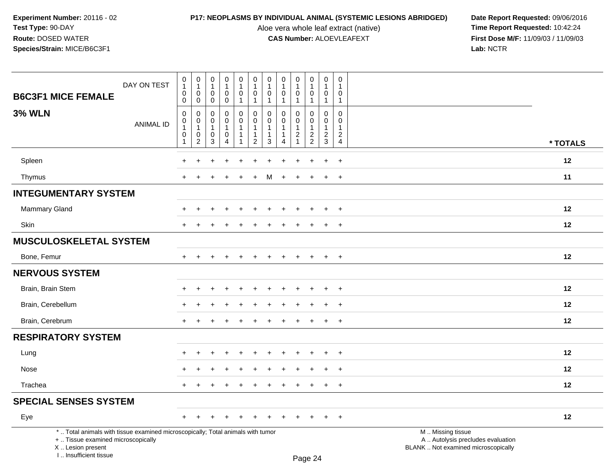Aloe vera whole leaf extract (native)<br>**CAS Number:** ALOEVLEAFEXT

|                                                                                                                                                                     | DAY ON TEST      | $\pmb{0}$<br>$\mathbf{1}$<br>0                                  | $\mathbf 0$<br>$\mathbf{1}$<br>$\overline{0}$                               | $\pmb{0}$<br>$\mathbf{1}$<br>$\mathbf 0$   | $\boldsymbol{0}$<br>$\mathbf{1}$<br>0                                                | $\pmb{0}$<br>$\mathbf{1}$<br>$\mathbf 0$           | $\pmb{0}$<br>$\mathbf{1}$<br>$\mathbf 0$                                     | 0<br>$\overline{1}$<br>$\mathbf 0$       | 0<br>$\overline{1}$<br>$\mathbf 0$                                             | 0<br>$\mathbf{1}$<br>$\mathbf 0$         | $\mathsf 0$<br>$\mathbf{1}$<br>0                                   | $\pmb{0}$<br>$\mathbf 1$<br>0                                                  | $\pmb{0}$<br>$\mathbf{1}$<br>0                                                    |                                                                                               |
|---------------------------------------------------------------------------------------------------------------------------------------------------------------------|------------------|-----------------------------------------------------------------|-----------------------------------------------------------------------------|--------------------------------------------|--------------------------------------------------------------------------------------|----------------------------------------------------|------------------------------------------------------------------------------|------------------------------------------|--------------------------------------------------------------------------------|------------------------------------------|--------------------------------------------------------------------|--------------------------------------------------------------------------------|-----------------------------------------------------------------------------------|-----------------------------------------------------------------------------------------------|
| <b>B6C3F1 MICE FEMALE</b>                                                                                                                                           |                  | $\mathbf 0$                                                     | $\overline{0}$                                                              | $\mathbf 0$                                | $\mathbf 0$                                                                          | $\mathbf{1}$                                       | $\mathbf{1}$                                                                 | -1                                       | $\mathbf{1}$                                                                   | 1                                        | $\mathbf{1}$                                                       | $\mathbf{1}$                                                                   | $\mathbf{1}$                                                                      |                                                                                               |
| <b>3% WLN</b>                                                                                                                                                       | <b>ANIMAL ID</b> | $\mathsf 0$<br>$\mathbf 0$<br>$\mathbf{1}$<br>$\mathbf 0$<br>-1 | $\mathbf 0$<br>$\mathbf 0$<br>$\mathbf{1}$<br>$\mathbf 0$<br>$\overline{c}$ | 0<br>0<br>$\mathbf{1}$<br>$\mathbf 0$<br>3 | $\mathbf 0$<br>$\mathbf 0$<br>$\mathbf{1}$<br>$\mathbf 0$<br>$\overline{\mathbf{4}}$ | 0<br>$\mathbf 0$<br>$\mathbf{1}$<br>$\overline{1}$ | $\mathbf 0$<br>$\mathbf 0$<br>$\mathbf{1}$<br>$\mathbf{1}$<br>$\overline{2}$ | 0<br>$\Omega$<br>$\mathbf{1}$<br>-1<br>3 | $\Omega$<br>$\Omega$<br>$\mathbf{1}$<br>$\mathbf{1}$<br>$\boldsymbol{\Lambda}$ | 0<br>0<br>$\mathbf{1}$<br>$\overline{2}$ | 0<br>$\mathbf 0$<br>$\mathbf{1}$<br>$\boldsymbol{2}$<br>$\sqrt{2}$ | $\pmb{0}$<br>$\mathbf 0$<br>$\mathbf{1}$<br>$\boldsymbol{2}$<br>$\mathfrak{S}$ | $\mathbf 0$<br>$\mathbf{0}$<br>$\overline{1}$<br>$\overline{2}$<br>$\overline{4}$ | * TOTALS                                                                                      |
| Spleen                                                                                                                                                              |                  |                                                                 |                                                                             |                                            |                                                                                      |                                                    |                                                                              |                                          |                                                                                |                                          |                                                                    | $\ddot{}$                                                                      | $\ddot{}$                                                                         | 12                                                                                            |
|                                                                                                                                                                     |                  |                                                                 |                                                                             |                                            |                                                                                      |                                                    |                                                                              |                                          |                                                                                |                                          |                                                                    |                                                                                |                                                                                   |                                                                                               |
| Thymus                                                                                                                                                              |                  |                                                                 |                                                                             |                                            |                                                                                      |                                                    |                                                                              | М                                        | ÷                                                                              | $\ddot{}$                                | $\ddot{}$                                                          | $+$                                                                            | $\ddot{}$                                                                         | 11                                                                                            |
| <b>INTEGUMENTARY SYSTEM</b>                                                                                                                                         |                  |                                                                 |                                                                             |                                            |                                                                                      |                                                    |                                                                              |                                          |                                                                                |                                          |                                                                    |                                                                                |                                                                                   |                                                                                               |
| Mammary Gland                                                                                                                                                       |                  | ÷                                                               | $\div$                                                                      |                                            | $\ddot{}$                                                                            | ÷                                                  |                                                                              |                                          |                                                                                |                                          | $\ddot{}$                                                          | $\ddot{}$                                                                      | $\ddot{}$                                                                         | 12                                                                                            |
| Skin                                                                                                                                                                |                  | $\div$                                                          |                                                                             |                                            |                                                                                      |                                                    |                                                                              |                                          |                                                                                |                                          |                                                                    | $\pm$                                                                          | $\overline{+}$                                                                    | 12                                                                                            |
| <b>MUSCULOSKELETAL SYSTEM</b>                                                                                                                                       |                  |                                                                 |                                                                             |                                            |                                                                                      |                                                    |                                                                              |                                          |                                                                                |                                          |                                                                    |                                                                                |                                                                                   |                                                                                               |
| Bone, Femur                                                                                                                                                         |                  | $\div$                                                          | $\div$                                                                      |                                            |                                                                                      |                                                    |                                                                              |                                          |                                                                                |                                          |                                                                    | $+$                                                                            | $+$                                                                               | 12                                                                                            |
| <b>NERVOUS SYSTEM</b>                                                                                                                                               |                  |                                                                 |                                                                             |                                            |                                                                                      |                                                    |                                                                              |                                          |                                                                                |                                          |                                                                    |                                                                                |                                                                                   |                                                                                               |
| Brain, Brain Stem                                                                                                                                                   |                  |                                                                 |                                                                             |                                            |                                                                                      |                                                    |                                                                              |                                          |                                                                                |                                          |                                                                    | $\div$                                                                         | $\overline{+}$                                                                    | 12                                                                                            |
| Brain, Cerebellum                                                                                                                                                   |                  |                                                                 |                                                                             |                                            |                                                                                      |                                                    |                                                                              |                                          |                                                                                |                                          |                                                                    |                                                                                | $\overline{1}$                                                                    | $12 \overline{ }$                                                                             |
| Brain, Cerebrum                                                                                                                                                     |                  |                                                                 |                                                                             |                                            |                                                                                      |                                                    |                                                                              |                                          |                                                                                |                                          |                                                                    |                                                                                | $\ddot{}$                                                                         | 12                                                                                            |
| <b>RESPIRATORY SYSTEM</b>                                                                                                                                           |                  |                                                                 |                                                                             |                                            |                                                                                      |                                                    |                                                                              |                                          |                                                                                |                                          |                                                                    |                                                                                |                                                                                   |                                                                                               |
| Lung                                                                                                                                                                |                  |                                                                 |                                                                             |                                            |                                                                                      |                                                    |                                                                              |                                          |                                                                                |                                          |                                                                    | $\div$                                                                         | $\ddot{}$                                                                         | $12 \,$                                                                                       |
| Nose                                                                                                                                                                |                  |                                                                 |                                                                             |                                            |                                                                                      |                                                    |                                                                              |                                          |                                                                                |                                          |                                                                    |                                                                                | $\ddot{}$                                                                         | 12                                                                                            |
| Trachea                                                                                                                                                             |                  | $+$                                                             | $\ddot{}$                                                                   |                                            | $\ddot{}$                                                                            | $\ddot{}$                                          | $\ddot{}$                                                                    | $\pm$                                    | $\ddot{}$                                                                      | $\ddot{}$                                | $\ddot{}$                                                          | $+$                                                                            | $+$                                                                               | 12                                                                                            |
| <b>SPECIAL SENSES SYSTEM</b>                                                                                                                                        |                  |                                                                 |                                                                             |                                            |                                                                                      |                                                    |                                                                              |                                          |                                                                                |                                          |                                                                    |                                                                                |                                                                                   |                                                                                               |
| Eye                                                                                                                                                                 |                  | $\pm$                                                           | $\div$                                                                      |                                            |                                                                                      |                                                    |                                                                              |                                          |                                                                                |                                          |                                                                    | $\ddot{}$                                                                      | $+$                                                                               | 12                                                                                            |
| *  Total animals with tissue examined microscopically; Total animals with tumor<br>+  Tissue examined microscopically<br>X  Lesion present<br>I Insufficient tissue |                  |                                                                 |                                                                             |                                            |                                                                                      |                                                    |                                                                              |                                          |                                                                                |                                          | $D_{200}$ $24$                                                     |                                                                                |                                                                                   | M  Missing tissue<br>A  Autolysis precludes evaluation<br>BLANK  Not examined microscopically |